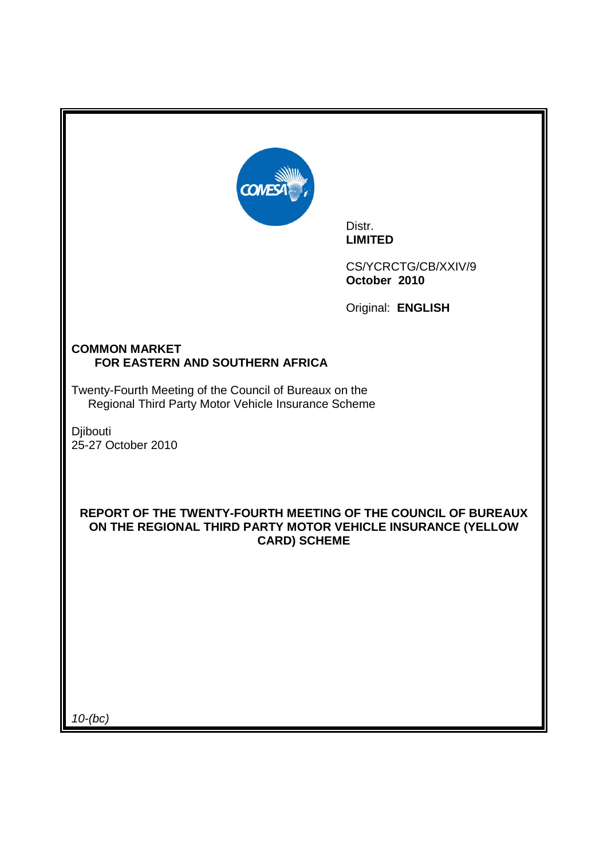

Distr. **LIMITED** 

CS/YCRCTG/CB/XXIV/9 **October 2010**

Original: **ENGLISH** 

# **COMMON MARKET FOR EASTERN AND SOUTHERN AFRICA**

Twenty-Fourth Meeting of the Council of Bureaux on the Regional Third Party Motor Vehicle Insurance Scheme

Djibouti 25-27 October 2010

# **REPORT OF THE TWENTY-FOURTH MEETING OF THE COUNCIL OF BUREAUX ON THE REGIONAL THIRD PARTY MOTOR VEHICLE INSURANCE (YELLOW CARD) SCHEME**

10-(bc)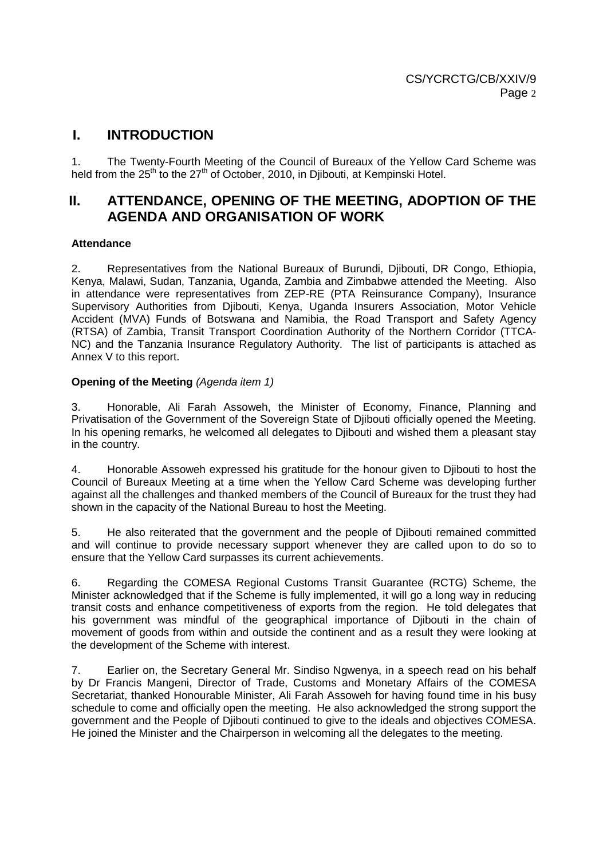# **I. INTRODUCTION**

1. The Twenty-Fourth Meeting of the Council of Bureaux of the Yellow Card Scheme was held from the  $25<sup>th</sup>$  to the  $27<sup>th</sup>$  of October, 2010, in Diibouti, at Kempinski Hotel.

# **II. ATTENDANCE, OPENING OF THE MEETING, ADOPTION OF THE AGENDA AND ORGANISATION OF WORK**

### **Attendance**

2. Representatives from the National Bureaux of Burundi, Djibouti, DR Congo, Ethiopia, Kenya, Malawi, Sudan, Tanzania, Uganda, Zambia and Zimbabwe attended the Meeting. Also in attendance were representatives from ZEP-RE (PTA Reinsurance Company), Insurance Supervisory Authorities from Djibouti, Kenya, Uganda Insurers Association, Motor Vehicle Accident (MVA) Funds of Botswana and Namibia, the Road Transport and Safety Agency (RTSA) of Zambia, Transit Transport Coordination Authority of the Northern Corridor (TTCA-NC) and the Tanzania Insurance Regulatory Authority. The list of participants is attached as Annex V to this report.

### **Opening of the Meeting (Agenda item 1)**

3. Honorable, Ali Farah Assoweh, the Minister of Economy, Finance, Planning and Privatisation of the Government of the Sovereign State of Djibouti officially opened the Meeting. In his opening remarks, he welcomed all delegates to Djibouti and wished them a pleasant stay in the country.

4. Honorable Assoweh expressed his gratitude for the honour given to Djibouti to host the Council of Bureaux Meeting at a time when the Yellow Card Scheme was developing further against all the challenges and thanked members of the Council of Bureaux for the trust they had shown in the capacity of the National Bureau to host the Meeting.

5. He also reiterated that the government and the people of Djibouti remained committed and will continue to provide necessary support whenever they are called upon to do so to ensure that the Yellow Card surpasses its current achievements.

6. Regarding the COMESA Regional Customs Transit Guarantee (RCTG) Scheme, the Minister acknowledged that if the Scheme is fully implemented, it will go a long way in reducing transit costs and enhance competitiveness of exports from the region. He told delegates that his government was mindful of the geographical importance of Diibouti in the chain of movement of goods from within and outside the continent and as a result they were looking at the development of the Scheme with interest.

7. Earlier on, the Secretary General Mr. Sindiso Ngwenya, in a speech read on his behalf by Dr Francis Mangeni, Director of Trade, Customs and Monetary Affairs of the COMESA Secretariat, thanked Honourable Minister, Ali Farah Assoweh for having found time in his busy schedule to come and officially open the meeting. He also acknowledged the strong support the government and the People of Djibouti continued to give to the ideals and objectives COMESA. He joined the Minister and the Chairperson in welcoming all the delegates to the meeting.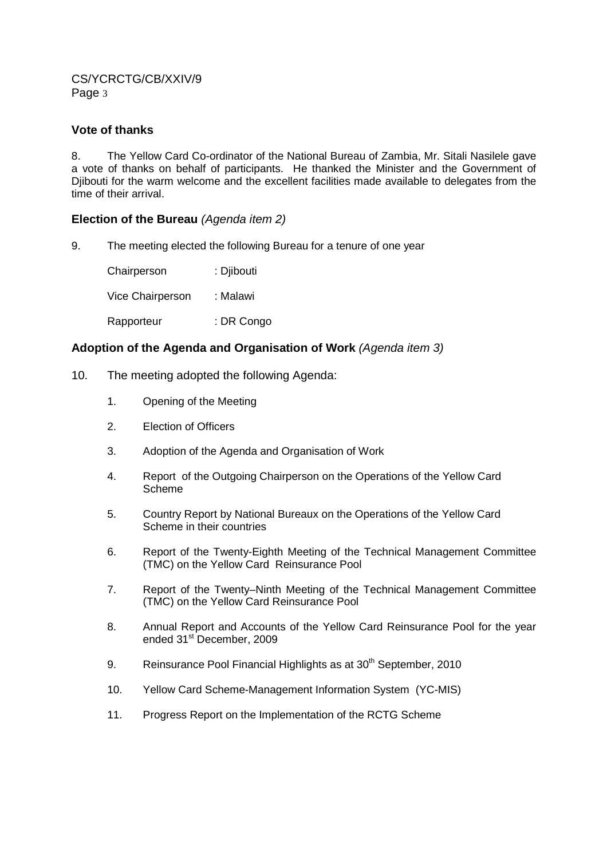### **Vote of thanks**

8. The Yellow Card Co-ordinator of the National Bureau of Zambia, Mr. Sitali Nasilele gave a vote of thanks on behalf of participants. He thanked the Minister and the Government of Djibouti for the warm welcome and the excellent facilities made available to delegates from the time of their arrival.

### **Election of the Bureau** (Agenda item 2)

9. The meeting elected the following Bureau for a tenure of one year

Chairperson : Djibouti Vice Chairperson : Malawi Rapporteur : DR Congo

### **Adoption of the Agenda and Organisation of Work** (Agenda item 3)

- 10. The meeting adopted the following Agenda:
	- 1. Opening of the Meeting
	- 2. Election of Officers
	- 3. Adoption of the Agenda and Organisation of Work
	- 4. Report of the Outgoing Chairperson on the Operations of the Yellow Card Scheme
	- 5. Country Report by National Bureaux on the Operations of the Yellow Card Scheme in their countries
	- 6. Report of the Twenty-Eighth Meeting of the Technical Management Committee (TMC) on the Yellow Card Reinsurance Pool
	- 7. Report of the Twenty–Ninth Meeting of the Technical Management Committee (TMC) on the Yellow Card Reinsurance Pool
	- 8. Annual Report and Accounts of the Yellow Card Reinsurance Pool for the year ended 31<sup>st</sup> December, 2009
	- 9. Reinsurance Pool Financial Highlights as at 30<sup>th</sup> September, 2010
	- 10. Yellow Card Scheme-Management Information System (YC-MIS)
	- 11. Progress Report on the Implementation of the RCTG Scheme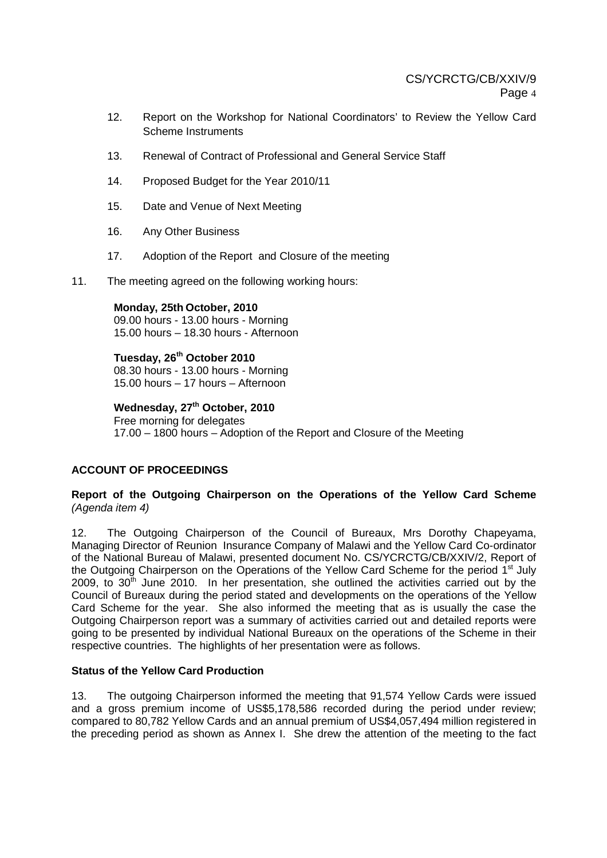- 12. Report on the Workshop for National Coordinators' to Review the Yellow Card Scheme Instruments
- 13. Renewal of Contract of Professional and General Service Staff
- 14. Proposed Budget for the Year 2010/11
- 15. Date and Venue of Next Meeting
- 16. Any Other Business
- 17. Adoption of the Report and Closure of the meeting
- 11. The meeting agreed on the following working hours:

**Monday, 25th October, 2010**  09.00 hours - 13.00 hours - Morning 15.00 hours – 18.30 hours - Afternoon

**Tuesday, 26th October 2010**  08.30 hours - 13.00 hours - Morning 15.00 hours – 17 hours – Afternoon

**Wednesday, 27th October, 2010**  Free morning for delegates 17.00 – 1800 hours – Adoption of the Report and Closure of the Meeting

### **ACCOUNT OF PROCEEDINGS**

### **Report of the Outgoing Chairperson on the Operations of the Yellow Card Scheme**  (Agenda item 4)

12. The Outgoing Chairperson of the Council of Bureaux, Mrs Dorothy Chapeyama, Managing Director of Reunion Insurance Company of Malawi and the Yellow Card Co-ordinator of the National Bureau of Malawi, presented document No. CS/YCRCTG/CB/XXIV/2, Report of the Outgoing Chairperson on the Operations of the Yellow Card Scheme for the period 1<sup>st</sup> July 2009, to  $30<sup>th</sup>$  June 2010. In her presentation, she outlined the activities carried out by the Council of Bureaux during the period stated and developments on the operations of the Yellow Card Scheme for the year. She also informed the meeting that as is usually the case the Outgoing Chairperson report was a summary of activities carried out and detailed reports were going to be presented by individual National Bureaux on the operations of the Scheme in their respective countries. The highlights of her presentation were as follows.

#### **Status of the Yellow Card Production**

13. The outgoing Chairperson informed the meeting that 91,574 Yellow Cards were issued and a gross premium income of US\$5,178,586 recorded during the period under review; compared to 80,782 Yellow Cards and an annual premium of US\$4,057,494 million registered in the preceding period as shown as Annex I. She drew the attention of the meeting to the fact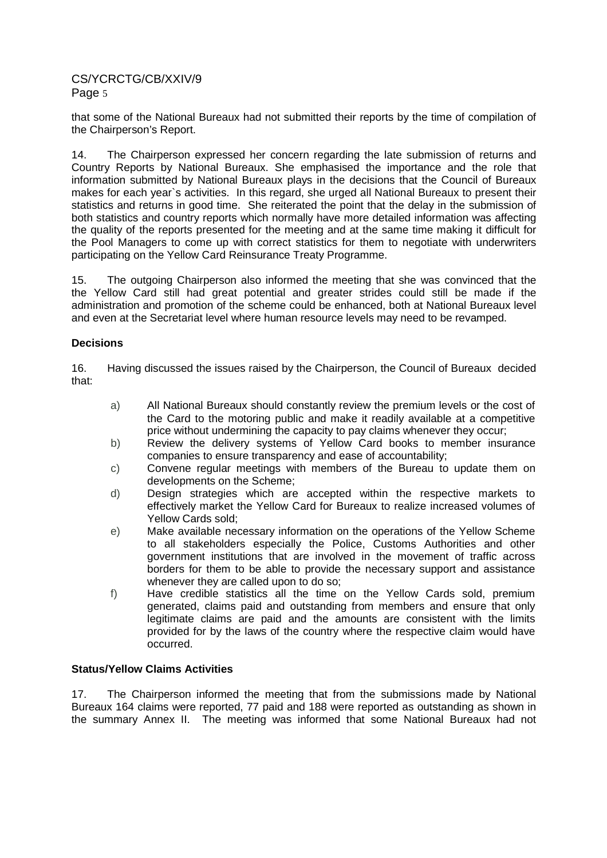that some of the National Bureaux had not submitted their reports by the time of compilation of the Chairperson's Report.

14. The Chairperson expressed her concern regarding the late submission of returns and Country Reports by National Bureaux. She emphasised the importance and the role that information submitted by National Bureaux plays in the decisions that the Council of Bureaux makes for each year`s activities. In this regard, she urged all National Bureaux to present their statistics and returns in good time. She reiterated the point that the delay in the submission of both statistics and country reports which normally have more detailed information was affecting the quality of the reports presented for the meeting and at the same time making it difficult for the Pool Managers to come up with correct statistics for them to negotiate with underwriters participating on the Yellow Card Reinsurance Treaty Programme.

15. The outgoing Chairperson also informed the meeting that she was convinced that the the Yellow Card still had great potential and greater strides could still be made if the administration and promotion of the scheme could be enhanced, both at National Bureaux level and even at the Secretariat level where human resource levels may need to be revamped.

### **Decisions**

16. Having discussed the issues raised by the Chairperson, the Council of Bureaux decided that:

- a) All National Bureaux should constantly review the premium levels or the cost of the Card to the motoring public and make it readily available at a competitive price without undermining the capacity to pay claims whenever they occur;
- b) Review the delivery systems of Yellow Card books to member insurance companies to ensure transparency and ease of accountability;
- c) Convene regular meetings with members of the Bureau to update them on developments on the Scheme;
- d) Design strategies which are accepted within the respective markets to effectively market the Yellow Card for Bureaux to realize increased volumes of Yellow Cards sold;
- e) Make available necessary information on the operations of the Yellow Scheme to all stakeholders especially the Police, Customs Authorities and other government institutions that are involved in the movement of traffic across borders for them to be able to provide the necessary support and assistance whenever they are called upon to do so;
- f) Have credible statistics all the time on the Yellow Cards sold, premium generated, claims paid and outstanding from members and ensure that only legitimate claims are paid and the amounts are consistent with the limits provided for by the laws of the country where the respective claim would have occurred.

## **Status/Yellow Claims Activities**

17. The Chairperson informed the meeting that from the submissions made by National Bureaux 164 claims were reported, 77 paid and 188 were reported as outstanding as shown in the summary Annex II. The meeting was informed that some National Bureaux had not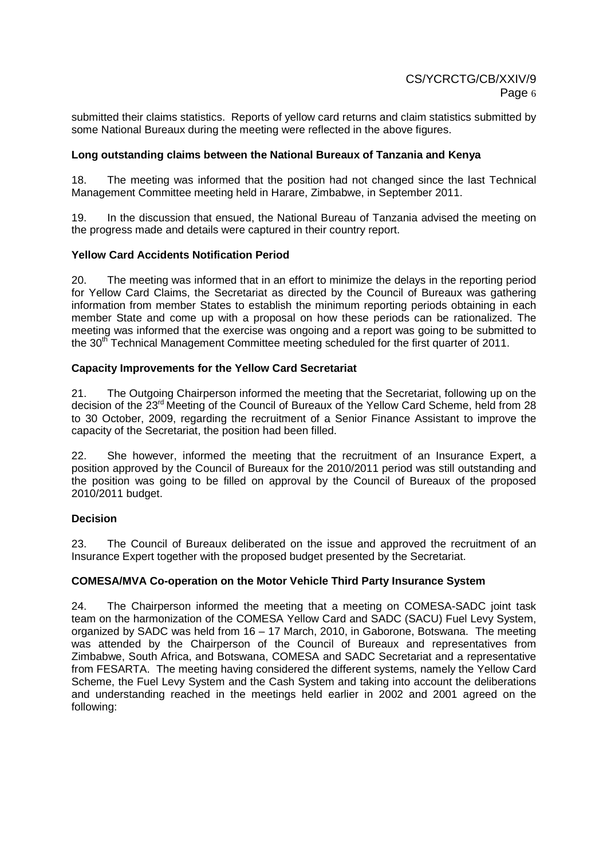submitted their claims statistics. Reports of yellow card returns and claim statistics submitted by some National Bureaux during the meeting were reflected in the above figures.

### **Long outstanding claims between the National Bureaux of Tanzania and Kenya**

18. The meeting was informed that the position had not changed since the last Technical Management Committee meeting held in Harare, Zimbabwe, in September 2011.

19. In the discussion that ensued, the National Bureau of Tanzania advised the meeting on the progress made and details were captured in their country report.

### **Yellow Card Accidents Notification Period**

20. The meeting was informed that in an effort to minimize the delays in the reporting period for Yellow Card Claims, the Secretariat as directed by the Council of Bureaux was gathering information from member States to establish the minimum reporting periods obtaining in each member State and come up with a proposal on how these periods can be rationalized. The meeting was informed that the exercise was ongoing and a report was going to be submitted to the 30<sup>th</sup> Technical Management Committee meeting scheduled for the first quarter of 2011.

### **Capacity Improvements for the Yellow Card Secretariat**

21. The Outgoing Chairperson informed the meeting that the Secretariat, following up on the decision of the 23<sup>rd</sup> Meeting of the Council of Bureaux of the Yellow Card Scheme, held from 28 to 30 October, 2009, regarding the recruitment of a Senior Finance Assistant to improve the capacity of the Secretariat, the position had been filled.

22. She however, informed the meeting that the recruitment of an Insurance Expert, a position approved by the Council of Bureaux for the 2010/2011 period was still outstanding and the position was going to be filled on approval by the Council of Bureaux of the proposed 2010/2011 budget.

#### **Decision**

23. The Council of Bureaux deliberated on the issue and approved the recruitment of an Insurance Expert together with the proposed budget presented by the Secretariat.

#### **COMESA/MVA Co-operation on the Motor Vehicle Third Party Insurance System**

24. The Chairperson informed the meeting that a meeting on COMESA-SADC joint task team on the harmonization of the COMESA Yellow Card and SADC (SACU) Fuel Levy System, organized by SADC was held from 16 – 17 March, 2010, in Gaborone, Botswana. The meeting was attended by the Chairperson of the Council of Bureaux and representatives from Zimbabwe, South Africa, and Botswana, COMESA and SADC Secretariat and a representative from FESARTA. The meeting having considered the different systems, namely the Yellow Card Scheme, the Fuel Levy System and the Cash System and taking into account the deliberations and understanding reached in the meetings held earlier in 2002 and 2001 agreed on the following: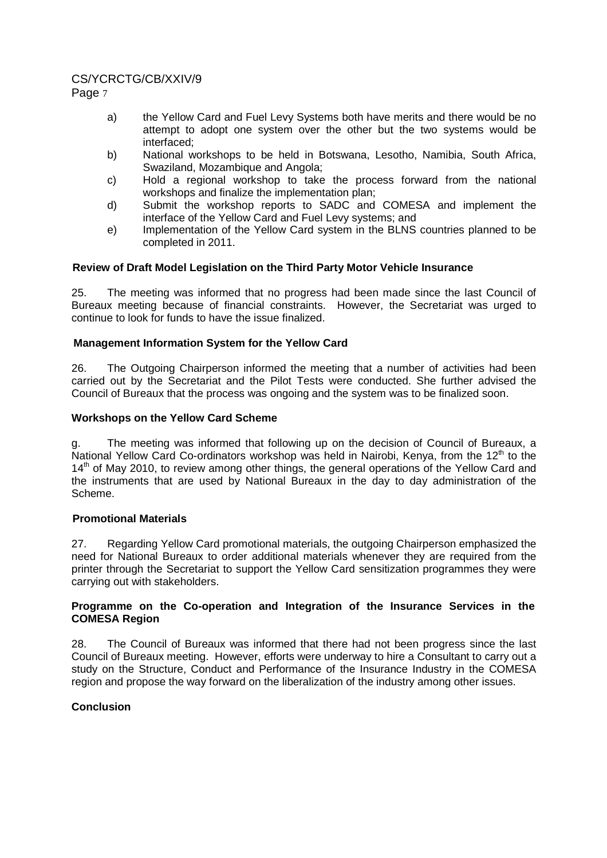# CS/YCRCTG/CB/XXIV/9

Page 7

- a) the Yellow Card and Fuel Levy Systems both have merits and there would be no attempt to adopt one system over the other but the two systems would be interfaced;
- b) National workshops to be held in Botswana, Lesotho, Namibia, South Africa, Swaziland, Mozambique and Angola;
- c) Hold a regional workshop to take the process forward from the national workshops and finalize the implementation plan;
- d) Submit the workshop reports to SADC and COMESA and implement the interface of the Yellow Card and Fuel Levy systems; and
- e) Implementation of the Yellow Card system in the BLNS countries planned to be completed in 2011.

# **Review of Draft Model Legislation on the Third Party Motor Vehicle Insurance**

25. The meeting was informed that no progress had been made since the last Council of Bureaux meeting because of financial constraints. However, the Secretariat was urged to continue to look for funds to have the issue finalized.

# **Management Information System for the Yellow Card**

26. The Outgoing Chairperson informed the meeting that a number of activities had been carried out by the Secretariat and the Pilot Tests were conducted. She further advised the Council of Bureaux that the process was ongoing and the system was to be finalized soon.

### **Workshops on the Yellow Card Scheme**

g. The meeting was informed that following up on the decision of Council of Bureaux, a National Yellow Card Co-ordinators workshop was held in Nairobi, Kenya, from the  $12<sup>th</sup>$  to the 14<sup>th</sup> of May 2010, to review among other things, the general operations of the Yellow Card and the instruments that are used by National Bureaux in the day to day administration of the Scheme.

### **Promotional Materials**

27. Regarding Yellow Card promotional materials, the outgoing Chairperson emphasized the need for National Bureaux to order additional materials whenever they are required from the printer through the Secretariat to support the Yellow Card sensitization programmes they were carrying out with stakeholders.

### **Programme on the Co-operation and Integration of the Insurance Services in the COMESA Region**

28. The Council of Bureaux was informed that there had not been progress since the last Council of Bureaux meeting. However, efforts were underway to hire a Consultant to carry out a study on the Structure, Conduct and Performance of the Insurance Industry in the COMESA region and propose the way forward on the liberalization of the industry among other issues.

### **Conclusion**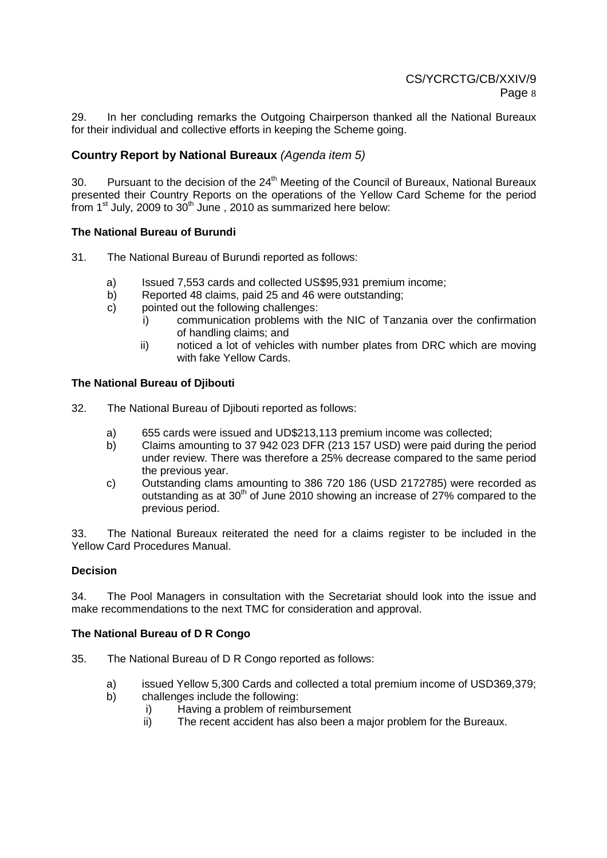29. In her concluding remarks the Outgoing Chairperson thanked all the National Bureaux for their individual and collective efforts in keeping the Scheme going.

# **Country Report by National Bureaux** (Agenda item 5)

30. Pursuant to the decision of the 24<sup>th</sup> Meeting of the Council of Bureaux, National Bureaux presented their Country Reports on the operations of the Yellow Card Scheme for the period from  $1<sup>st</sup>$  July, 2009 to  $30<sup>th</sup>$  June , 2010 as summarized here below:

### **The National Bureau of Burundi**

- 31. The National Bureau of Burundi reported as follows:
	- a) Issued 7,553 cards and collected US\$95,931 premium income;
	- b) Reported 48 claims, paid 25 and 46 were outstanding;
	- c) pointed out the following challenges:
		- i) communication problems with the NIC of Tanzania over the confirmation of handling claims; and
		- ii) noticed a lot of vehicles with number plates from DRC which are moving with fake Yellow Cards.

### **The National Bureau of Djibouti**

- 32. The National Bureau of Djibouti reported as follows:
	- a) 655 cards were issued and UD\$213,113 premium income was collected;
	- b) Claims amounting to 37 942 023 DFR (213 157 USD) were paid during the period under review. There was therefore a 25% decrease compared to the same period the previous year.
	- c) Outstanding clams amounting to 386 720 186 (USD 2172785) were recorded as outstanding as at  $30<sup>th</sup>$  of June 2010 showing an increase of 27% compared to the previous period.

33. The National Bureaux reiterated the need for a claims register to be included in the Yellow Card Procedures Manual.

#### **Decision**

34. The Pool Managers in consultation with the Secretariat should look into the issue and make recommendations to the next TMC for consideration and approval.

#### **The National Bureau of D R Congo**

- 35. The National Bureau of D R Congo reported as follows:
	- a) issued Yellow 5,300 Cards and collected a total premium income of USD369,379;
	- b) challenges include the following:
		- i) Having a problem of reimbursement
			- ii) The recent accident has also been a major problem for the Bureaux.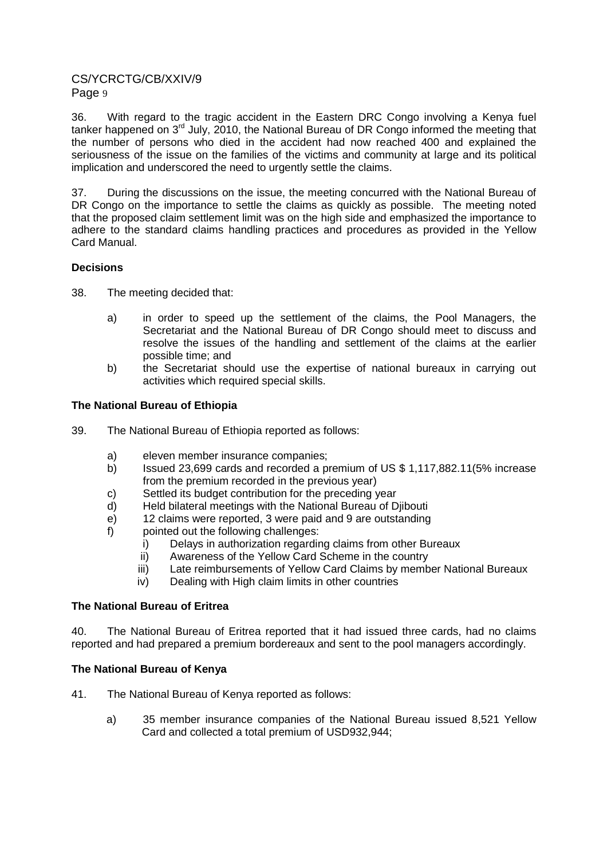36. With regard to the tragic accident in the Eastern DRC Congo involving a Kenya fuel tanker happened on 3<sup>rd</sup> July, 2010, the National Bureau of DR Congo informed the meeting that the number of persons who died in the accident had now reached 400 and explained the seriousness of the issue on the families of the victims and community at large and its political implication and underscored the need to urgently settle the claims.

37. During the discussions on the issue, the meeting concurred with the National Bureau of DR Congo on the importance to settle the claims as quickly as possible. The meeting noted that the proposed claim settlement limit was on the high side and emphasized the importance to adhere to the standard claims handling practices and procedures as provided in the Yellow Card Manual.

### **Decisions**

- 38. The meeting decided that:
	- a) in order to speed up the settlement of the claims, the Pool Managers, the Secretariat and the National Bureau of DR Congo should meet to discuss and resolve the issues of the handling and settlement of the claims at the earlier possible time; and
	- b) the Secretariat should use the expertise of national bureaux in carrying out activities which required special skills.

### **The National Bureau of Ethiopia**

- 39. The National Bureau of Ethiopia reported as follows:
	- a) eleven member insurance companies;
	- b) Issued 23,699 cards and recorded a premium of US \$ 1,117,882.11(5% increase from the premium recorded in the previous year)
	- c) Settled its budget contribution for the preceding year
	- d) Held bilateral meetings with the National Bureau of Djibouti
	- e) 12 claims were reported, 3 were paid and 9 are outstanding
	- f) pointed out the following challenges:
		- i) Delays in authorization regarding claims from other Bureaux
		- ii) Awareness of the Yellow Card Scheme in the country
		- iii) Late reimbursements of Yellow Card Claims by member National Bureaux
		- iv) Dealing with High claim limits in other countries

#### **The National Bureau of Eritrea**

40. The National Bureau of Eritrea reported that it had issued three cards, had no claims reported and had prepared a premium bordereaux and sent to the pool managers accordingly.

### **The National Bureau of Kenya**

- 41. The National Bureau of Kenya reported as follows:
	- a) 35 member insurance companies of the National Bureau issued 8,521 Yellow Card and collected a total premium of USD932,944;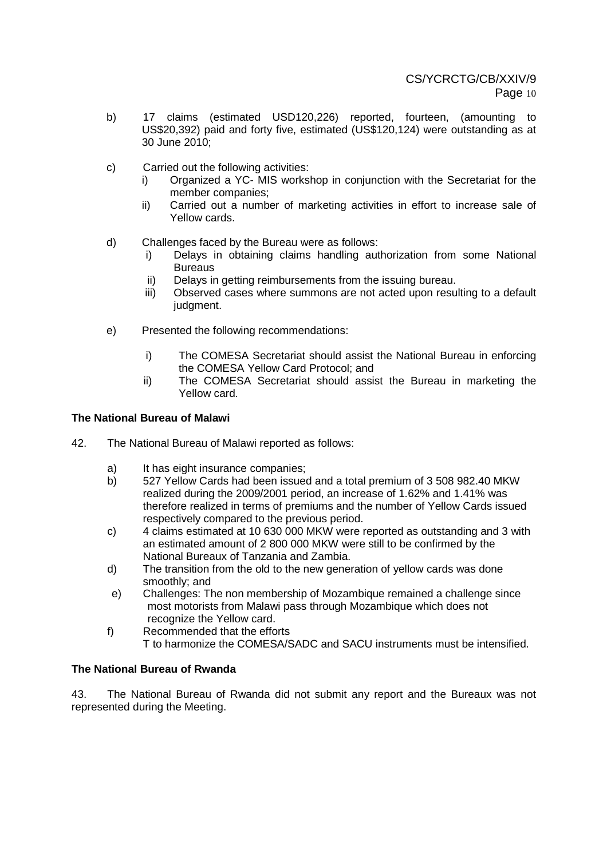- b) 17 claims (estimated USD120,226) reported, fourteen, (amounting to US\$20,392) paid and forty five, estimated (US\$120,124) were outstanding as at 30 June 2010;
- c) Carried out the following activities:
	- i) Organized a YC- MIS workshop in conjunction with the Secretariat for the member companies;
	- ii) Carried out a number of marketing activities in effort to increase sale of Yellow cards.
- d) Challenges faced by the Bureau were as follows:
	- i) Delays in obtaining claims handling authorization from some National **Bureaus**
	- ii) Delays in getting reimbursements from the issuing bureau.
	- iii) Observed cases where summons are not acted upon resulting to a default judgment.
- e) Presented the following recommendations:
	- i) The COMESA Secretariat should assist the National Bureau in enforcing the COMESA Yellow Card Protocol; and
	- ii) The COMESA Secretariat should assist the Bureau in marketing the Yellow card.

### **The National Bureau of Malawi**

- 42. The National Bureau of Malawi reported as follows:
	- a) It has eight insurance companies;
	- b) 527 Yellow Cards had been issued and a total premium of 3 508 982.40 MKW realized during the 2009/2001 period, an increase of 1.62% and 1.41% was therefore realized in terms of premiums and the number of Yellow Cards issued respectively compared to the previous period.
	- c) 4 claims estimated at 10 630 000 MKW were reported as outstanding and 3 with an estimated amount of 2 800 000 MKW were still to be confirmed by the National Bureaux of Tanzania and Zambia.
	- d) The transition from the old to the new generation of yellow cards was done smoothly; and
	- e) Challenges: The non membership of Mozambique remained a challenge since most motorists from Malawi pass through Mozambique which does not recognize the Yellow card.
	- f) Recommended that the efforts T to harmonize the COMESA/SADC and SACU instruments must be intensified.

### **The National Bureau of Rwanda**

43. The National Bureau of Rwanda did not submit any report and the Bureaux was not represented during the Meeting.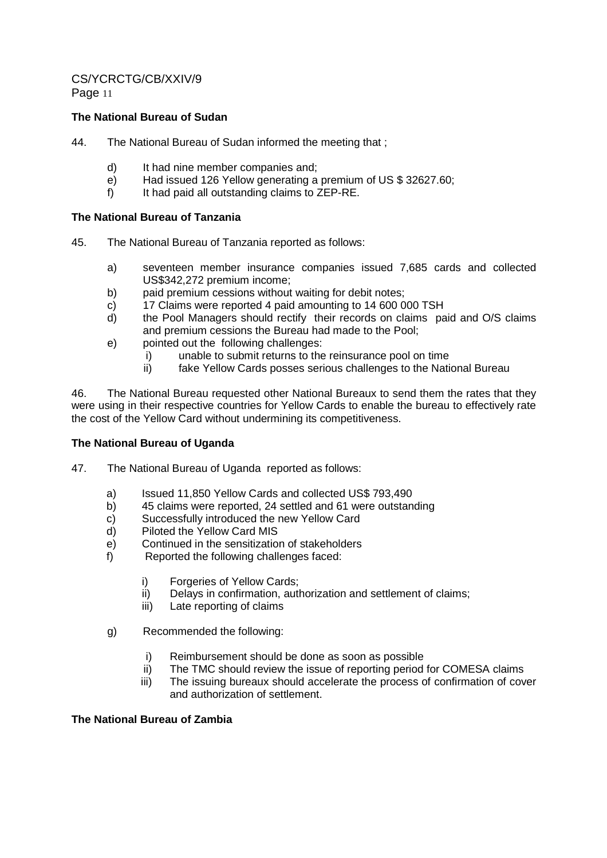### **The National Bureau of Sudan**

- 44. The National Bureau of Sudan informed the meeting that ;
	- d) It had nine member companies and;
	- e) Had issued 126 Yellow generating a premium of US \$ 32627.60;
	- f) It had paid all outstanding claims to ZEP-RE.

### **The National Bureau of Tanzania**

- 45. The National Bureau of Tanzania reported as follows:
	- a) seventeen member insurance companies issued 7,685 cards and collected US\$342,272 premium income;
	- b) paid premium cessions without waiting for debit notes;
	- c) 17 Claims were reported 4 paid amounting to 14 600 000 TSH
	- d) the Pool Managers should rectify their records on claims paid and O/S claims and premium cessions the Bureau had made to the Pool;
	- e) pointed out the following challenges:
		- i) unable to submit returns to the reinsurance pool on time<br>ii) fake Yellow Cards posses serious challenges to the Nation
		- fake Yellow Cards posses serious challenges to the National Bureau

46. The National Bureau requested other National Bureaux to send them the rates that they were using in their respective countries for Yellow Cards to enable the bureau to effectively rate the cost of the Yellow Card without undermining its competitiveness.

#### **The National Bureau of Uganda**

- 47. The National Bureau of Uganda reported as follows:
	- a) Issued 11,850 Yellow Cards and collected US\$ 793,490
	- b) 45 claims were reported, 24 settled and 61 were outstanding
	- c) Successfully introduced the new Yellow Card<br>d) Piloted the Yellow Card MIS
	- Piloted the Yellow Card MIS
	- e) Continued in the sensitization of stakeholders
	- f) Reported the following challenges faced:
		- i) Forgeries of Yellow Cards;
		- ii) Delays in confirmation, authorization and settlement of claims;
		- iii) Late reporting of claims
	- g) Recommended the following:
		- i) Reimbursement should be done as soon as possible
		- ii) The TMC should review the issue of reporting period for COMESA claims
		- iii) The issuing bureaux should accelerate the process of confirmation of cover and authorization of settlement.

### **The National Bureau of Zambia**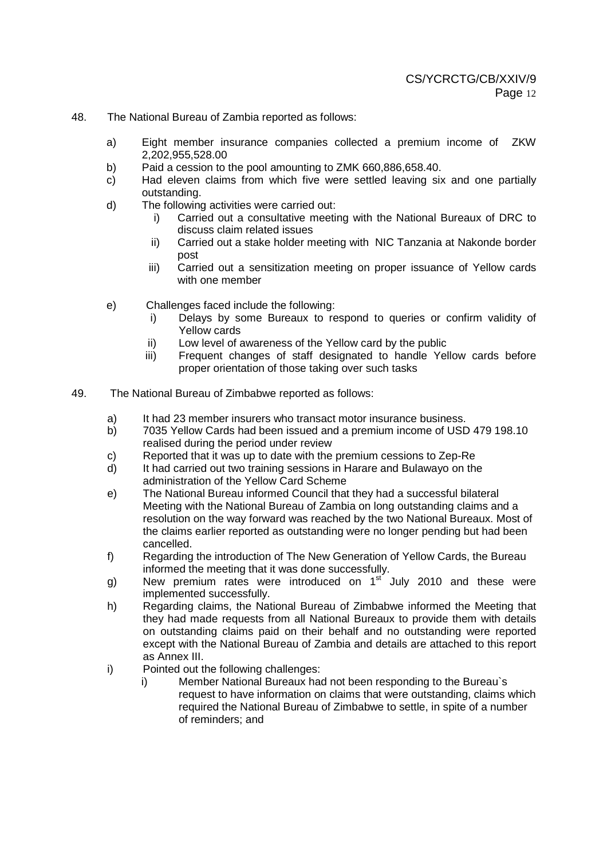- 48. The National Bureau of Zambia reported as follows:
	- a) Eight member insurance companies collected a premium income of ZKW 2,202,955,528.00
	- b) Paid a cession to the pool amounting to ZMK 660,886,658.40.
	- c) Had eleven claims from which five were settled leaving six and one partially outstanding.
	- d) The following activities were carried out:
		- i) Carried out a consultative meeting with the National Bureaux of DRC to discuss claim related issues
		- ii) Carried out a stake holder meeting with NIC Tanzania at Nakonde border post
		- iii) Carried out a sensitization meeting on proper issuance of Yellow cards with one member
	- e) Challenges faced include the following:
		- i) Delays by some Bureaux to respond to queries or confirm validity of Yellow cards
		- ii) Low level of awareness of the Yellow card by the public
		- iii) Frequent changes of staff designated to handle Yellow cards before proper orientation of those taking over such tasks
- 49. The National Bureau of Zimbabwe reported as follows:
	- a) It had 23 member insurers who transact motor insurance business.
	- b) 7035 Yellow Cards had been issued and a premium income of USD 479 198.10 realised during the period under review
	- c) Reported that it was up to date with the premium cessions to Zep-Re
	- d) It had carried out two training sessions in Harare and Bulawayo on the administration of the Yellow Card Scheme
	- e) The National Bureau informed Council that they had a successful bilateral Meeting with the National Bureau of Zambia on long outstanding claims and a resolution on the way forward was reached by the two National Bureaux. Most of the claims earlier reported as outstanding were no longer pending but had been cancelled.
	- f) Regarding the introduction of The New Generation of Yellow Cards, the Bureau informed the meeting that it was done successfully.
	- g) New premium rates were introduced on  $1<sup>st</sup>$  July 2010 and these were implemented successfully.
	- h) Regarding claims, the National Bureau of Zimbabwe informed the Meeting that they had made requests from all National Bureaux to provide them with details on outstanding claims paid on their behalf and no outstanding were reported except with the National Bureau of Zambia and details are attached to this report as Annex III.
	- i) Pointed out the following challenges:
		- i) Member National Bureaux had not been responding to the Bureau`s request to have information on claims that were outstanding, claims which required the National Bureau of Zimbabwe to settle, in spite of a number of reminders; and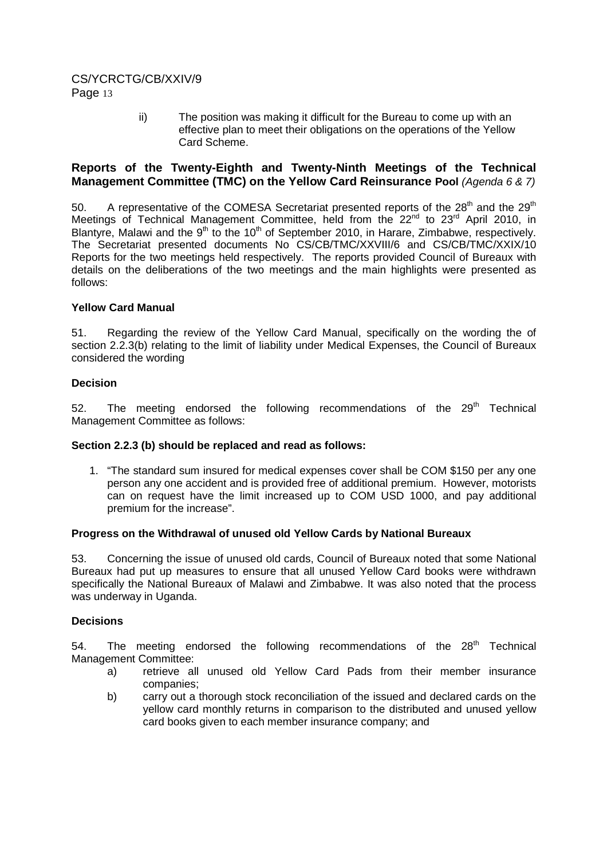ii) The position was making it difficult for the Bureau to come up with an effective plan to meet their obligations on the operations of the Yellow Card Scheme.

### **Reports of the Twenty-Eighth and Twenty-Ninth Meetings of the Technical Management Committee (TMC) on the Yellow Card Reinsurance Pool** (Agenda 6 & 7)

50. A representative of the COMESA Secretariat presented reports of the  $28<sup>th</sup>$  and the  $29<sup>th</sup>$ Meetings of Technical Management Committee, held from the 22<sup>nd</sup> to 23<sup>rd</sup> April 2010, in Blantyre, Malawi and the  $9<sup>th</sup>$  to the 10<sup>th</sup> of September 2010, in Harare, Zimbabwe, respectively. The Secretariat presented documents No CS/CB/TMC/XXVIII/6 and CS/CB/TMC/XXIX/10 Reports for the two meetings held respectively. The reports provided Council of Bureaux with details on the deliberations of the two meetings and the main highlights were presented as follows:

### **Yellow Card Manual**

51. Regarding the review of the Yellow Card Manual, specifically on the wording the of section 2.2.3(b) relating to the limit of liability under Medical Expenses, the Council of Bureaux considered the wording

### **Decision**

52. The meeting endorsed the following recommendations of the  $29<sup>th</sup>$  Technical Management Committee as follows:

#### **Section 2.2.3 (b) should be replaced and read as follows:**

1. "The standard sum insured for medical expenses cover shall be COM \$150 per any one person any one accident and is provided free of additional premium. However, motorists can on request have the limit increased up to COM USD 1000, and pay additional premium for the increase".

#### **Progress on the Withdrawal of unused old Yellow Cards by National Bureaux**

53. Concerning the issue of unused old cards, Council of Bureaux noted that some National Bureaux had put up measures to ensure that all unused Yellow Card books were withdrawn specifically the National Bureaux of Malawi and Zimbabwe. It was also noted that the process was underway in Uganda.

#### **Decisions**

54. The meeting endorsed the following recommendations of the  $28<sup>th</sup>$  Technical Management Committee:

- a) retrieve all unused old Yellow Card Pads from their member insurance companies;
- b) carry out a thorough stock reconciliation of the issued and declared cards on the yellow card monthly returns in comparison to the distributed and unused yellow card books given to each member insurance company; and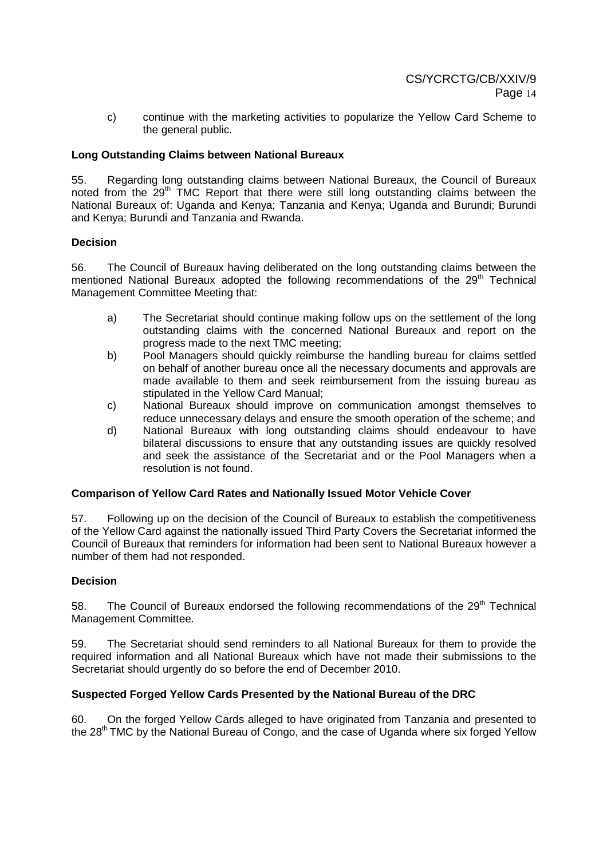c) continue with the marketing activities to popularize the Yellow Card Scheme to the general public.

### **Long Outstanding Claims between National Bureaux**

55. Regarding long outstanding claims between National Bureaux, the Council of Bureaux noted from the  $29<sup>th</sup>$  TMC Report that there were still long outstanding claims between the National Bureaux of: Uganda and Kenya; Tanzania and Kenya; Uganda and Burundi; Burundi and Kenya; Burundi and Tanzania and Rwanda.

#### **Decision**

56. The Council of Bureaux having deliberated on the long outstanding claims between the mentioned National Bureaux adopted the following recommendations of the 29<sup>th</sup> Technical Management Committee Meeting that:

- a) The Secretariat should continue making follow ups on the settlement of the long outstanding claims with the concerned National Bureaux and report on the progress made to the next TMC meeting;
- b) Pool Managers should quickly reimburse the handling bureau for claims settled on behalf of another bureau once all the necessary documents and approvals are made available to them and seek reimbursement from the issuing bureau as stipulated in the Yellow Card Manual;
- c) National Bureaux should improve on communication amongst themselves to reduce unnecessary delays and ensure the smooth operation of the scheme; and
- d) National Bureaux with long outstanding claims should endeavour to have bilateral discussions to ensure that any outstanding issues are quickly resolved and seek the assistance of the Secretariat and or the Pool Managers when a resolution is not found.

### **Comparison of Yellow Card Rates and Nationally Issued Motor Vehicle Cover**

57. Following up on the decision of the Council of Bureaux to establish the competitiveness of the Yellow Card against the nationally issued Third Party Covers the Secretariat informed the Council of Bureaux that reminders for information had been sent to National Bureaux however a number of them had not responded.

#### **Decision**

58. The Council of Bureaux endorsed the following recommendations of the  $29<sup>th</sup>$  Technical Management Committee.

59. The Secretariat should send reminders to all National Bureaux for them to provide the required information and all National Bureaux which have not made their submissions to the Secretariat should urgently do so before the end of December 2010.

### **Suspected Forged Yellow Cards Presented by the National Bureau of the DRC**

60. On the forged Yellow Cards alleged to have originated from Tanzania and presented to the 28<sup>th</sup> TMC by the National Bureau of Congo, and the case of Uganda where six forged Yellow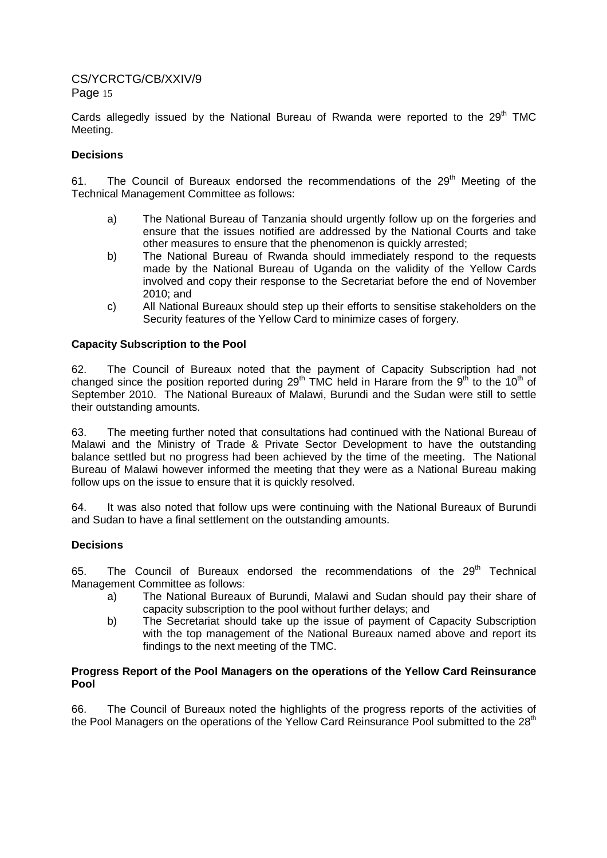Cards allegedly issued by the National Bureau of Rwanda were reported to the  $29<sup>th</sup>$  TMC Meeting.

### **Decisions**

61. The Council of Bureaux endorsed the recommendations of the  $29<sup>th</sup>$  Meeting of the Technical Management Committee as follows:

- a) The National Bureau of Tanzania should urgently follow up on the forgeries and ensure that the issues notified are addressed by the National Courts and take other measures to ensure that the phenomenon is quickly arrested;
- b) The National Bureau of Rwanda should immediately respond to the requests made by the National Bureau of Uganda on the validity of the Yellow Cards involved and copy their response to the Secretariat before the end of November 2010; and
- c) All National Bureaux should step up their efforts to sensitise stakeholders on the Security features of the Yellow Card to minimize cases of forgery.

### **Capacity Subscription to the Pool**

62. The Council of Bureaux noted that the payment of Capacity Subscription had not changed since the position reported during 29<sup>th</sup> TMC held in Harare from the 9<sup>th</sup> to the 10<sup>th</sup> of September 2010. The National Bureaux of Malawi, Burundi and the Sudan were still to settle their outstanding amounts.

63. The meeting further noted that consultations had continued with the National Bureau of Malawi and the Ministry of Trade & Private Sector Development to have the outstanding balance settled but no progress had been achieved by the time of the meeting. The National Bureau of Malawi however informed the meeting that they were as a National Bureau making follow ups on the issue to ensure that it is quickly resolved.

64. It was also noted that follow ups were continuing with the National Bureaux of Burundi and Sudan to have a final settlement on the outstanding amounts.

#### **Decisions**

65. The Council of Bureaux endorsed the recommendations of the 29<sup>th</sup> Technical Management Committee as follows:

- a) The National Bureaux of Burundi, Malawi and Sudan should pay their share of capacity subscription to the pool without further delays; and
- b) The Secretariat should take up the issue of payment of Capacity Subscription with the top management of the National Bureaux named above and report its findings to the next meeting of the TMC.

### **Progress Report of the Pool Managers on the operations of the Yellow Card Reinsurance Pool**

66. The Council of Bureaux noted the highlights of the progress reports of the activities of the Pool Managers on the operations of the Yellow Card Reinsurance Pool submitted to the 28<sup>th</sup>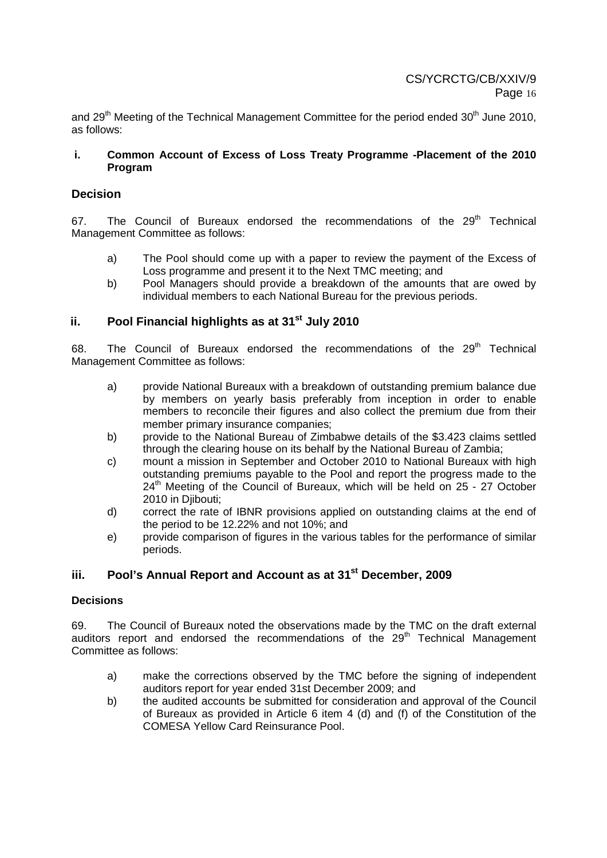and 29<sup>th</sup> Meeting of the Technical Management Committee for the period ended 30<sup>th</sup> June 2010. as follows:

#### **i. Common Account of Excess of Loss Treaty Programme -Placement of the 2010 Program**

### **Decision**

67. The Council of Bureaux endorsed the recommendations of the  $29<sup>th</sup>$  Technical Management Committee as follows:

- a) The Pool should come up with a paper to review the payment of the Excess of Loss programme and present it to the Next TMC meeting; and
- b) Pool Managers should provide a breakdown of the amounts that are owed by individual members to each National Bureau for the previous periods.

# **ii. Pool Financial highlights as at 31st July 2010**

68. The Council of Bureaux endorsed the recommendations of the  $29<sup>th</sup>$  Technical Management Committee as follows:

- a) provide National Bureaux with a breakdown of outstanding premium balance due by members on yearly basis preferably from inception in order to enable members to reconcile their figures and also collect the premium due from their member primary insurance companies;
- b) provide to the National Bureau of Zimbabwe details of the \$3.423 claims settled through the clearing house on its behalf by the National Bureau of Zambia;
- c) mount a mission in September and October 2010 to National Bureaux with high outstanding premiums payable to the Pool and report the progress made to the 24<sup>th</sup> Meeting of the Council of Bureaux, which will be held on 25 - 27 October 2010 in Diibouti:
- d) correct the rate of IBNR provisions applied on outstanding claims at the end of the period to be 12.22% and not 10%; and
- e) provide comparison of figures in the various tables for the performance of similar periods.

# **iii. Pool's Annual Report and Account as at 31st December, 2009**

### **Decisions**

69. The Council of Bureaux noted the observations made by the TMC on the draft external auditors report and endorsed the recommendations of the  $29<sup>th</sup>$  Technical Management Committee as follows:

- a) make the corrections observed by the TMC before the signing of independent auditors report for year ended 31st December 2009; and
- b) the audited accounts be submitted for consideration and approval of the Council of Bureaux as provided in Article 6 item 4 (d) and (f) of the Constitution of the COMESA Yellow Card Reinsurance Pool.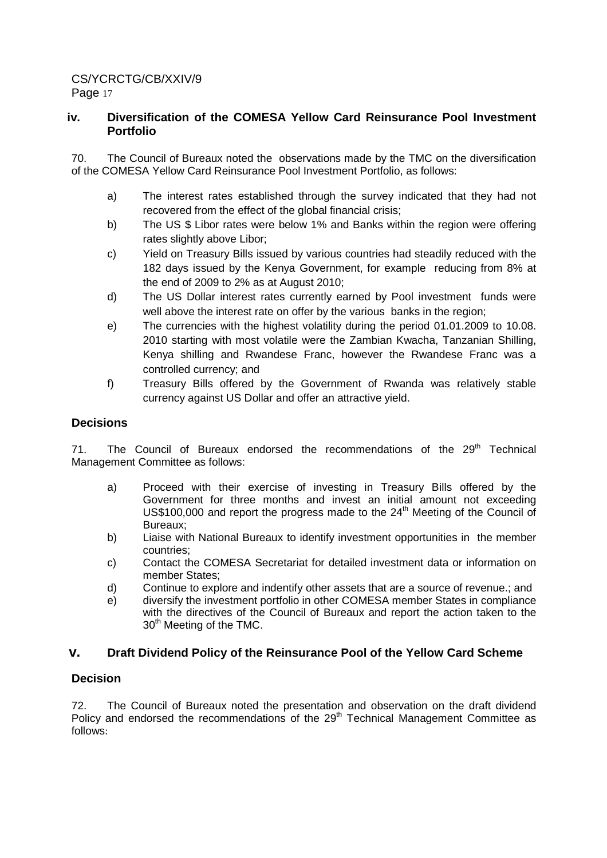# **iv. Diversification of the COMESA Yellow Card Reinsurance Pool Investment Portfolio**

70. The Council of Bureaux noted the observations made by the TMC on the diversification of the COMESA Yellow Card Reinsurance Pool Investment Portfolio, as follows:

- a) The interest rates established through the survey indicated that they had not recovered from the effect of the global financial crisis;
- b) The US \$ Libor rates were below 1% and Banks within the region were offering rates slightly above Libor;
- c) Yield on Treasury Bills issued by various countries had steadily reduced with the 182 days issued by the Kenya Government, for example reducing from 8% at the end of 2009 to 2% as at August 2010;
- d) The US Dollar interest rates currently earned by Pool investment funds were well above the interest rate on offer by the various banks in the region;
- e) The currencies with the highest volatility during the period 01.01.2009 to 10.08. 2010 starting with most volatile were the Zambian Kwacha, Tanzanian Shilling, Kenya shilling and Rwandese Franc, however the Rwandese Franc was a controlled currency; and
- f) Treasury Bills offered by the Government of Rwanda was relatively stable currency against US Dollar and offer an attractive yield.

# **Decisions**

71. The Council of Bureaux endorsed the recommendations of the 29<sup>th</sup> Technical Management Committee as follows:

- a) Proceed with their exercise of investing in Treasury Bills offered by the Government for three months and invest an initial amount not exceeding  $US$100,000$  and report the progress made to the  $24<sup>th</sup>$  Meeting of the Council of Bureaux;
- b) Liaise with National Bureaux to identify investment opportunities in the member countries;
- c) Contact the COMESA Secretariat for detailed investment data or information on member States;
- d) Continue to explore and indentify other assets that are a source of revenue.; and
- e) diversify the investment portfolio in other COMESA member States in compliance with the directives of the Council of Bureaux and report the action taken to the 30<sup>th</sup> Meeting of the TMC.

### **v. Draft Dividend Policy of the Reinsurance Pool of the Yellow Card Scheme**

### **Decision**

72. The Council of Bureaux noted the presentation and observation on the draft dividend Policy and endorsed the recommendations of the  $29<sup>th</sup>$  Technical Management Committee as follows: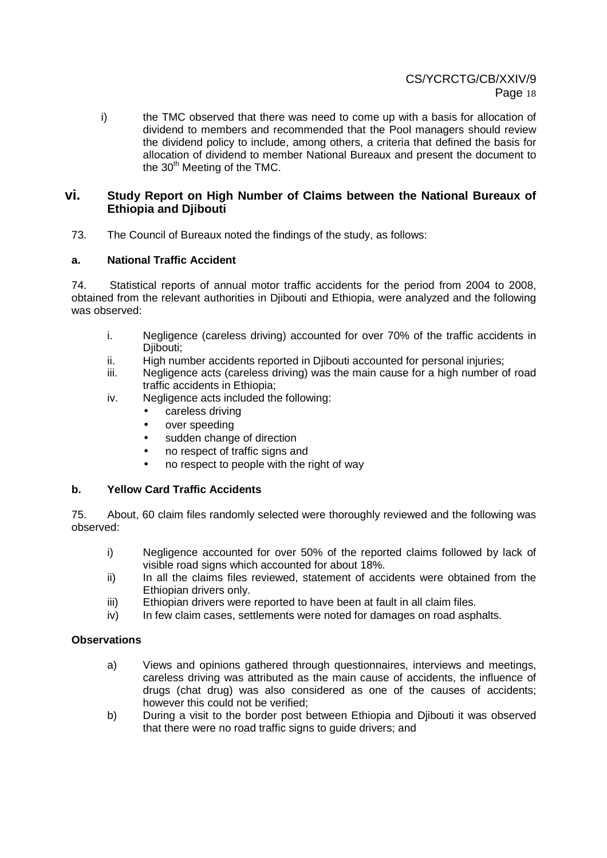i) the TMC observed that there was need to come up with a basis for allocation of dividend to members and recommended that the Pool managers should review the dividend policy to include, among others, a criteria that defined the basis for allocation of dividend to member National Bureaux and present the document to the 30<sup>th</sup> Meeting of the TMC.

### **vi. Study Report on High Number of Claims between the National Bureaux of Ethiopia and Djibouti**

73. The Council of Bureaux noted the findings of the study, as follows:

### **a. National Traffic Accident**

74. Statistical reports of annual motor traffic accidents for the period from 2004 to 2008, obtained from the relevant authorities in Djibouti and Ethiopia, were analyzed and the following was observed:

- i. Negligence (careless driving) accounted for over 70% of the traffic accidents in Djibouti;
- ii. High number accidents reported in Djibouti accounted for personal injuries;
- iii. Negligence acts (careless driving) was the main cause for a high number of road traffic accidents in Ethiopia;
- iv. Negligence acts included the following:
	- careless driving
	- over speeding
	- sudden change of direction
	- no respect of traffic signs and
	- no respect to people with the right of way

### **b. Yellow Card Traffic Accidents**

75. About, 60 claim files randomly selected were thoroughly reviewed and the following was observed:

- i) Negligence accounted for over 50% of the reported claims followed by lack of visible road signs which accounted for about 18%.
- ii) In all the claims files reviewed, statement of accidents were obtained from the Ethiopian drivers only.
- iii) Ethiopian drivers were reported to have been at fault in all claim files.
- iv) In few claim cases, settlements were noted for damages on road asphalts.

#### **Observations**

- a) Views and opinions gathered through questionnaires, interviews and meetings, careless driving was attributed as the main cause of accidents, the influence of drugs (chat drug) was also considered as one of the causes of accidents; however this could not be verified;
- b) During a visit to the border post between Ethiopia and Djibouti it was observed that there were no road traffic signs to guide drivers; and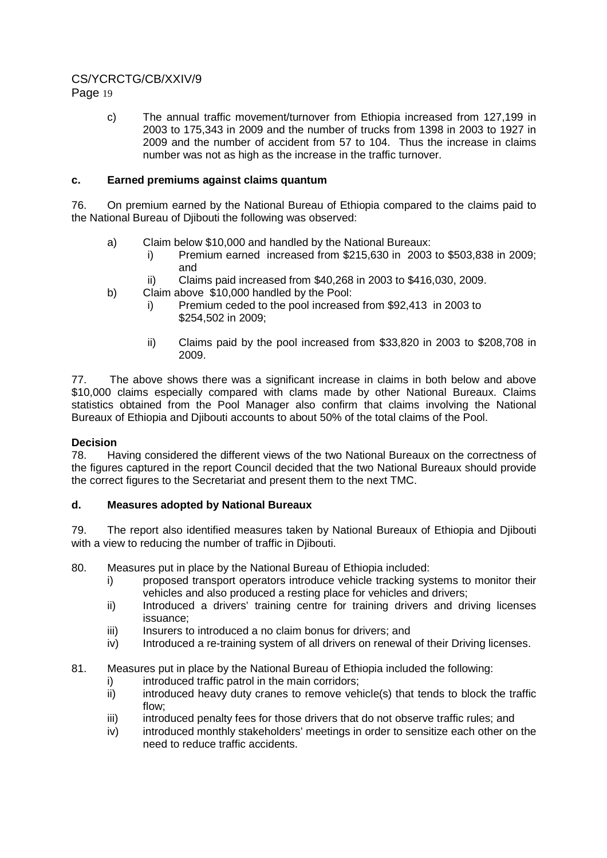# CS/YCRCTG/CB/XXIV/9

Page 19

c) The annual traffic movement/turnover from Ethiopia increased from 127,199 in 2003 to 175,343 in 2009 and the number of trucks from 1398 in 2003 to 1927 in 2009 and the number of accident from 57 to 104. Thus the increase in claims number was not as high as the increase in the traffic turnover.

### **c. Earned premiums against claims quantum**

76. On premium earned by the National Bureau of Ethiopia compared to the claims paid to the National Bureau of Djibouti the following was observed:

- a) Claim below \$10,000 and handled by the National Bureaux:
	- i) Premium earned increased from \$215,630 in 2003 to \$503,838 in 2009; and
	- ii) Claims paid increased from \$40,268 in 2003 to \$416,030, 2009.
- b) Claim above \$10,000 handled by the Pool:
	- i) Premium ceded to the pool increased from \$92,413 in 2003 to \$254,502 in 2009;
	- ii) Claims paid by the pool increased from \$33,820 in 2003 to \$208,708 in 2009.

77. The above shows there was a significant increase in claims in both below and above \$10,000 claims especially compared with clams made by other National Bureaux. Claims statistics obtained from the Pool Manager also confirm that claims involving the National Bureaux of Ethiopia and Djibouti accounts to about 50% of the total claims of the Pool.

### **Decision**

78. Having considered the different views of the two National Bureaux on the correctness of the figures captured in the report Council decided that the two National Bureaux should provide the correct figures to the Secretariat and present them to the next TMC.

### **d. Measures adopted by National Bureaux**

79. The report also identified measures taken by National Bureaux of Ethiopia and Djibouti with a view to reducing the number of traffic in Diibouti.

80. Measures put in place by the National Bureau of Ethiopia included:

- i) proposed transport operators introduce vehicle tracking systems to monitor their vehicles and also produced a resting place for vehicles and drivers;
- ii) Introduced a drivers' training centre for training drivers and driving licenses issuance;
- iii) Insurers to introduced a no claim bonus for drivers; and
- iv) Introduced a re-training system of all drivers on renewal of their Driving licenses.

### 81. Measures put in place by the National Bureau of Ethiopia included the following:

- i) introduced traffic patrol in the main corridors;
- $ii)$  introduced heavy duty cranes to remove vehicle(s) that tends to block the traffic flow;
- iii) introduced penalty fees for those drivers that do not observe traffic rules; and
- iv) introduced monthly stakeholders' meetings in order to sensitize each other on the need to reduce traffic accidents.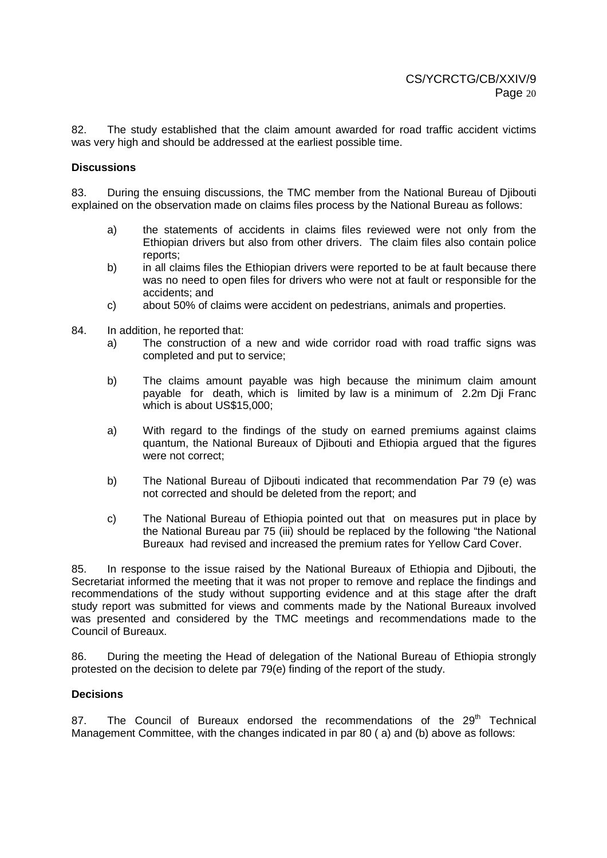82. The study established that the claim amount awarded for road traffic accident victims was very high and should be addressed at the earliest possible time.

#### **Discussions**

83. During the ensuing discussions, the TMC member from the National Bureau of Djibouti explained on the observation made on claims files process by the National Bureau as follows:

- a) the statements of accidents in claims files reviewed were not only from the Ethiopian drivers but also from other drivers. The claim files also contain police reports;
- b) in all claims files the Ethiopian drivers were reported to be at fault because there was no need to open files for drivers who were not at fault or responsible for the accidents; and
- c) about 50% of claims were accident on pedestrians, animals and properties.
- 84. In addition, he reported that:
	- a) The construction of a new and wide corridor road with road traffic signs was completed and put to service;
	- b) The claims amount payable was high because the minimum claim amount payable for death, which is limited by law is a minimum of 2.2m Dji Franc which is about US\$15,000;
	- a) With regard to the findings of the study on earned premiums against claims quantum, the National Bureaux of Djibouti and Ethiopia argued that the figures were not correct;
	- b) The National Bureau of Djibouti indicated that recommendation Par 79 (e) was not corrected and should be deleted from the report; and
	- c) The National Bureau of Ethiopia pointed out that on measures put in place by the National Bureau par 75 (iii) should be replaced by the following "the National Bureaux had revised and increased the premium rates for Yellow Card Cover.

85. In response to the issue raised by the National Bureaux of Ethiopia and Djibouti, the Secretariat informed the meeting that it was not proper to remove and replace the findings and recommendations of the study without supporting evidence and at this stage after the draft study report was submitted for views and comments made by the National Bureaux involved was presented and considered by the TMC meetings and recommendations made to the Council of Bureaux.

86. During the meeting the Head of delegation of the National Bureau of Ethiopia strongly protested on the decision to delete par 79(e) finding of the report of the study.

#### **Decisions**

87. The Council of Bureaux endorsed the recommendations of the  $29<sup>th</sup>$  Technical Management Committee, with the changes indicated in par 80 ( a) and (b) above as follows: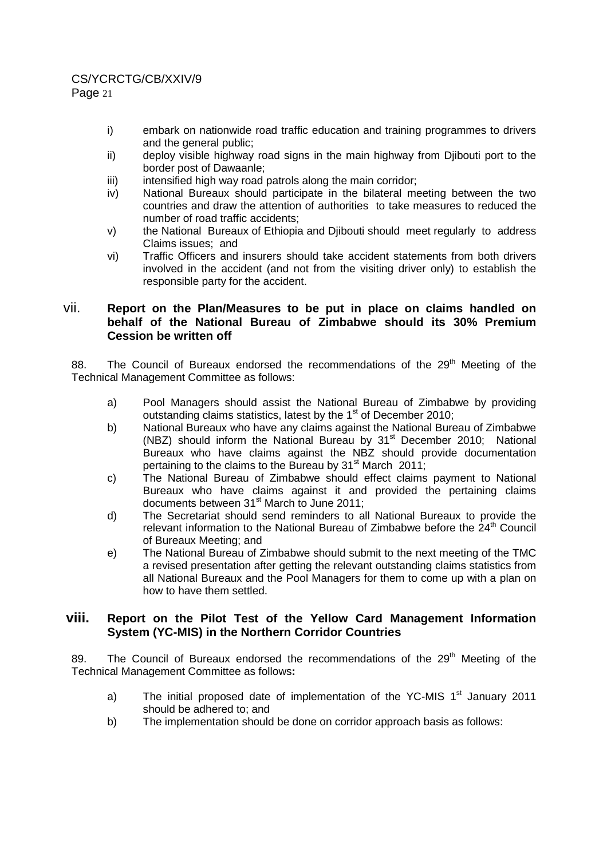# CS/YCRCTG/CB/XXIV/9

Page 21

- i) embark on nationwide road traffic education and training programmes to drivers and the general public;
- ii) deploy visible highway road signs in the main highway from Djibouti port to the border post of Dawaanle;
- iii) iii) intensified high way road patrols along the main corridor;
- iv) National Bureaux should participate in the bilateral meeting between the two countries and draw the attention of authorities to take measures to reduced the number of road traffic accidents;
- v) the National Bureaux of Ethiopia and Djibouti should meet regularly to address Claims issues; and
- vi) Traffic Officers and insurers should take accident statements from both drivers involved in the accident (and not from the visiting driver only) to establish the responsible party for the accident.

# vii. **Report on the Plan/Measures to be put in place on claims handled on behalf of the National Bureau of Zimbabwe should its 30% Premium Cession be written off**

88. The Council of Bureaux endorsed the recommendations of the 29<sup>th</sup> Meeting of the Technical Management Committee as follows:

- a) Pool Managers should assist the National Bureau of Zimbabwe by providing outstanding claims statistics, latest by the 1<sup>st</sup> of December 2010;
- b) National Bureaux who have any claims against the National Bureau of Zimbabwe (NBZ) should inform the National Bureau by 31<sup>st</sup> December 2010; National Bureaux who have claims against the NBZ should provide documentation pertaining to the claims to the Bureau by  $31<sup>st</sup>$  March 2011;
- c) The National Bureau of Zimbabwe should effect claims payment to National Bureaux who have claims against it and provided the pertaining claims documents between 31<sup>st</sup> March to June 2011;
- d) The Secretariat should send reminders to all National Bureaux to provide the relevant information to the National Bureau of Zimbabwe before the  $24<sup>th</sup>$  Council of Bureaux Meeting; and
- e) The National Bureau of Zimbabwe should submit to the next meeting of the TMC a revised presentation after getting the relevant outstanding claims statistics from all National Bureaux and the Pool Managers for them to come up with a plan on how to have them settled.

# **viii. Report on the Pilot Test of the Yellow Card Management Information System (YC-MIS) in the Northern Corridor Countries**

89. The Council of Bureaux endorsed the recommendations of the 29<sup>th</sup> Meeting of the Technical Management Committee as follows**:** 

- a) The initial proposed date of implementation of the YC-MIS  $1<sup>st</sup>$  January 2011 should be adhered to; and
- b) The implementation should be done on corridor approach basis as follows: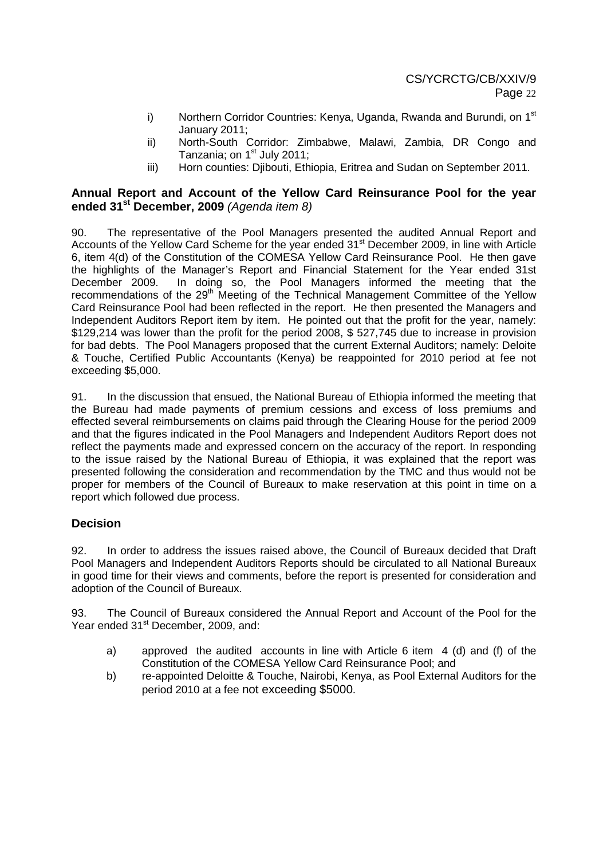- i) Northern Corridor Countries: Kenya, Uganda, Rwanda and Burundi, on 1<sup>st</sup> January 2011;
- ii) North-South Corridor: Zimbabwe, Malawi, Zambia, DR Congo and Tanzania; on 1<sup>st</sup> July 2011;
- iii) Horn counties: Djibouti, Ethiopia, Eritrea and Sudan on September 2011.

# **Annual Report and Account of the Yellow Card Reinsurance Pool for the year ended 31st December, 2009** (Agenda item 8)

90. The representative of the Pool Managers presented the audited Annual Report and Accounts of the Yellow Card Scheme for the year ended 31<sup>st</sup> December 2009, in line with Article 6, item 4(d) of the Constitution of the COMESA Yellow Card Reinsurance Pool. He then gave the highlights of the Manager's Report and Financial Statement for the Year ended 31st December 2009. In doing so, the Pool Managers informed the meeting that the recommendations of the 29<sup>th</sup> Meeting of the Technical Management Committee of the Yellow Card Reinsurance Pool had been reflected in the report. He then presented the Managers and Independent Auditors Report item by item. He pointed out that the profit for the year, namely: \$129,214 was lower than the profit for the period 2008, \$ 527,745 due to increase in provision for bad debts. The Pool Managers proposed that the current External Auditors; namely: Deloite & Touche, Certified Public Accountants (Kenya) be reappointed for 2010 period at fee not exceeding \$5,000.

91. In the discussion that ensued, the National Bureau of Ethiopia informed the meeting that the Bureau had made payments of premium cessions and excess of loss premiums and effected several reimbursements on claims paid through the Clearing House for the period 2009 and that the figures indicated in the Pool Managers and Independent Auditors Report does not reflect the payments made and expressed concern on the accuracy of the report. In responding to the issue raised by the National Bureau of Ethiopia, it was explained that the report was presented following the consideration and recommendation by the TMC and thus would not be proper for members of the Council of Bureaux to make reservation at this point in time on a report which followed due process.

# **Decision**

92. In order to address the issues raised above, the Council of Bureaux decided that Draft Pool Managers and Independent Auditors Reports should be circulated to all National Bureaux in good time for their views and comments, before the report is presented for consideration and adoption of the Council of Bureaux.

93. The Council of Bureaux considered the Annual Report and Account of the Pool for the Year ended 31<sup>st</sup> December, 2009, and:

- a) approved the audited accounts in line with Article 6 item 4 (d) and (f) of the Constitution of the COMESA Yellow Card Reinsurance Pool; and
- b) re-appointed Deloitte & Touche, Nairobi, Kenya, as Pool External Auditors for the period 2010 at a fee not exceeding \$5000.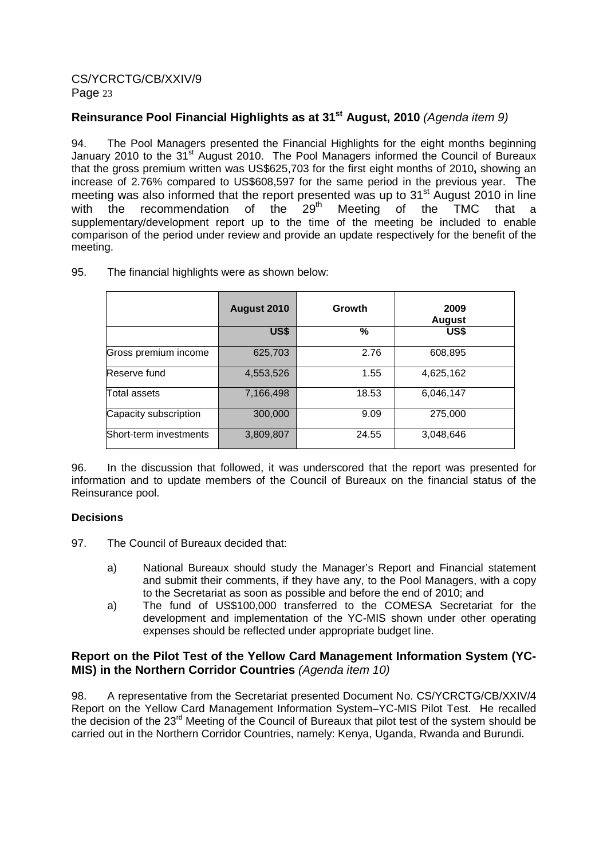# **Reinsurance Pool Financial Highlights as at 31st August, 2010** (Agenda item 9)

94. The Pool Managers presented the Financial Highlights for the eight months beginning January 2010 to the 31<sup>st</sup> August 2010. The Pool Managers informed the Council of Bureaux that the gross premium written was US\$625,703 for the first eight months of 2010**,** showing an increase of 2.76% compared to US\$608,597 for the same period in the previous year. The meeting was also informed that the report presented was up to  $31<sup>st</sup>$  August 2010 in line<br>with the recommendation of the  $29<sup>th</sup>$  Meeting of the TMC that a with the recommendation of the  $29<sup>th</sup>$  Meeting of the TMC that a supplementary/development report up to the time of the meeting be included to enable comparison of the period under review and provide an update respectively for the benefit of the meeting.

|                        | August 2010 | Growth | 2009<br><b>August</b> |
|------------------------|-------------|--------|-----------------------|
|                        | US\$        | %      | US\$                  |
| Gross premium income   | 625,703     | 2.76   | 608,895               |
| Reserve fund           | 4,553,526   | 1.55   | 4,625,162             |
| Total assets           | 7,166,498   | 18.53  | 6,046,147             |
| Capacity subscription  | 300,000     | 9.09   | 275,000               |
| Short-term investments | 3,809,807   | 24.55  | 3,048,646             |

95. The financial highlights were as shown below:

96. In the discussion that followed, it was underscored that the report was presented for information and to update members of the Council of Bureaux on the financial status of the Reinsurance pool.

### **Decisions**

- 97. The Council of Bureaux decided that:
	- a) National Bureaux should study the Manager's Report and Financial statement and submit their comments, if they have any, to the Pool Managers, with a copy to the Secretariat as soon as possible and before the end of 2010; and
	- a) The fund of US\$100,000 transferred to the COMESA Secretariat for the development and implementation of the YC-MIS shown under other operating expenses should be reflected under appropriate budget line.

# **Report on the Pilot Test of the Yellow Card Management Information System (YC-MIS) in the Northern Corridor Countries** (Agenda item 10)

98. A representative from the Secretariat presented Document No. CS/YCRCTG/CB/XXIV/4 Report on the Yellow Card Management Information System–YC-MIS Pilot Test. He recalled the decision of the 23rd Meeting of the Council of Bureaux that pilot test of the system should be carried out in the Northern Corridor Countries, namely: Kenya, Uganda, Rwanda and Burundi.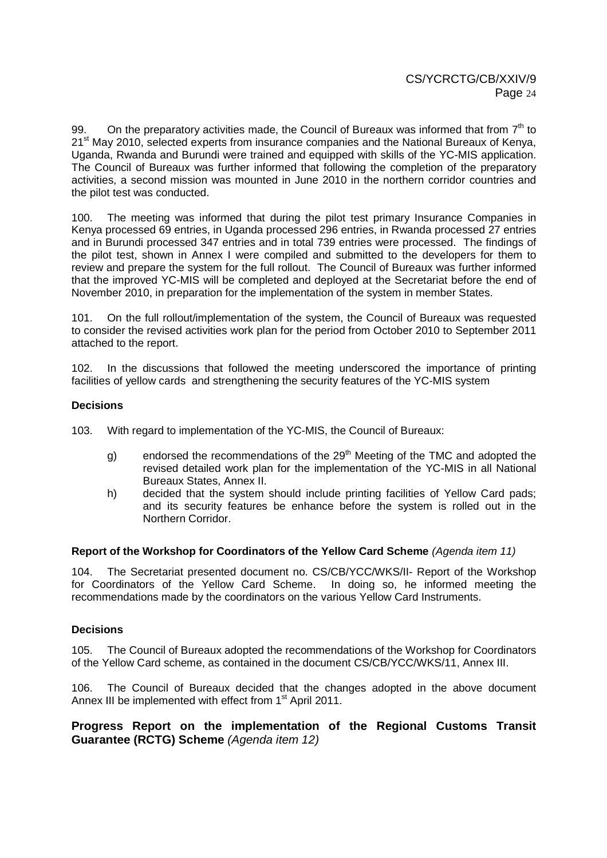99. On the preparatory activities made, the Council of Bureaux was informed that from  $7<sup>th</sup>$  to 21<sup>st</sup> May 2010, selected experts from insurance companies and the National Bureaux of Kenya, Uganda, Rwanda and Burundi were trained and equipped with skills of the YC-MIS application. The Council of Bureaux was further informed that following the completion of the preparatory activities, a second mission was mounted in June 2010 in the northern corridor countries and the pilot test was conducted.

100. The meeting was informed that during the pilot test primary Insurance Companies in Kenya processed 69 entries, in Uganda processed 296 entries, in Rwanda processed 27 entries and in Burundi processed 347 entries and in total 739 entries were processed. The findings of the pilot test, shown in Annex I were compiled and submitted to the developers for them to review and prepare the system for the full rollout. The Council of Bureaux was further informed that the improved YC-MIS will be completed and deployed at the Secretariat before the end of November 2010, in preparation for the implementation of the system in member States.

101. On the full rollout/implementation of the system, the Council of Bureaux was requested to consider the revised activities work plan for the period from October 2010 to September 2011 attached to the report.

102. In the discussions that followed the meeting underscored the importance of printing facilities of yellow cards and strengthening the security features of the YC-MIS system

### **Decisions**

103. With regard to implementation of the YC-MIS, the Council of Bureaux:

- g) endorsed the recommendations of the  $29<sup>th</sup>$  Meeting of the TMC and adopted the revised detailed work plan for the implementation of the YC-MIS in all National Bureaux States, Annex II.
- h) decided that the system should include printing facilities of Yellow Card pads; and its security features be enhance before the system is rolled out in the Northern Corridor.

#### **Report of the Workshop for Coordinators of the Yellow Card Scheme** (Agenda item 11)

104. The Secretariat presented document no. CS/CB/YCC/WKS/II- Report of the Workshop for Coordinators of the Yellow Card Scheme. In doing so, he informed meeting the recommendations made by the coordinators on the various Yellow Card Instruments.

### **Decisions**

105. The Council of Bureaux adopted the recommendations of the Workshop for Coordinators of the Yellow Card scheme, as contained in the document CS/CB/YCC/WKS/11, Annex III.

106. The Council of Bureaux decided that the changes adopted in the above document Annex III be implemented with effect from 1<sup>st</sup> April 2011.

**Progress Report on the implementation of the Regional Customs Transit Guarantee (RCTG) Scheme** (Agenda item 12)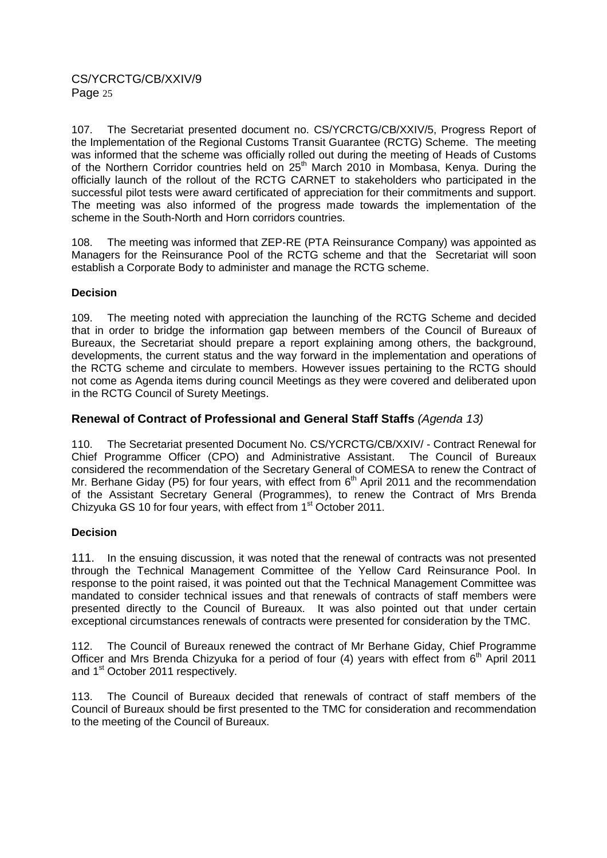107. The Secretariat presented document no. CS/YCRCTG/CB/XXIV/5, Progress Report of the Implementation of the Regional Customs Transit Guarantee (RCTG) Scheme. The meeting was informed that the scheme was officially rolled out during the meeting of Heads of Customs of the Northern Corridor countries held on 25<sup>th</sup> March 2010 in Mombasa, Kenya. During the officially launch of the rollout of the RCTG CARNET to stakeholders who participated in the successful pilot tests were award certificated of appreciation for their commitments and support. The meeting was also informed of the progress made towards the implementation of the scheme in the South-North and Horn corridors countries.

108. The meeting was informed that ZEP-RE (PTA Reinsurance Company) was appointed as Managers for the Reinsurance Pool of the RCTG scheme and that the Secretariat will soon establish a Corporate Body to administer and manage the RCTG scheme.

### **Decision**

109. The meeting noted with appreciation the launching of the RCTG Scheme and decided that in order to bridge the information gap between members of the Council of Bureaux of Bureaux, the Secretariat should prepare a report explaining among others, the background, developments, the current status and the way forward in the implementation and operations of the RCTG scheme and circulate to members. However issues pertaining to the RCTG should not come as Agenda items during council Meetings as they were covered and deliberated upon in the RCTG Council of Surety Meetings.

# **Renewal of Contract of Professional and General Staff Staffs** (Agenda 13)

110. The Secretariat presented Document No. CS/YCRCTG/CB/XXIV/ - Contract Renewal for Chief Programme Officer (CPO) and Administrative Assistant. The Council of Bureaux considered the recommendation of the Secretary General of COMESA to renew the Contract of Mr. Berhane Giday (P5) for four years, with effect from  $6<sup>th</sup>$  April 2011 and the recommendation of the Assistant Secretary General (Programmes), to renew the Contract of Mrs Brenda Chizyuka GS 10 for four years, with effect from 1<sup>st</sup> October 2011.

### **Decision**

111. In the ensuing discussion, it was noted that the renewal of contracts was not presented through the Technical Management Committee of the Yellow Card Reinsurance Pool. In response to the point raised, it was pointed out that the Technical Management Committee was mandated to consider technical issues and that renewals of contracts of staff members were presented directly to the Council of Bureaux. It was also pointed out that under certain exceptional circumstances renewals of contracts were presented for consideration by the TMC.

112. The Council of Bureaux renewed the contract of Mr Berhane Giday, Chief Programme Officer and Mrs Brenda Chizyuka for a period of four  $(4)$  years with effect from  $6<sup>th</sup>$  April 2011 and 1<sup>st</sup> October 2011 respectively.

113. The Council of Bureaux decided that renewals of contract of staff members of the Council of Bureaux should be first presented to the TMC for consideration and recommendation to the meeting of the Council of Bureaux.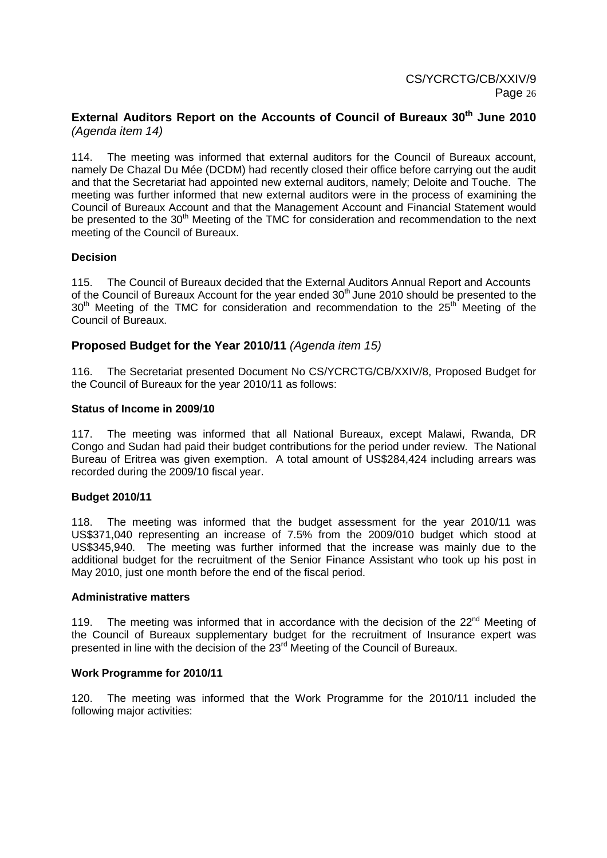### **External Auditors Report on the Accounts of Council of Bureaux 30th June 2010** (Agenda item 14)

114. The meeting was informed that external auditors for the Council of Bureaux account, namely De Chazal Du Mée (DCDM) had recently closed their office before carrying out the audit and that the Secretariat had appointed new external auditors, namely; Deloite and Touche. The meeting was further informed that new external auditors were in the process of examining the Council of Bureaux Account and that the Management Account and Financial Statement would be presented to the 30<sup>th</sup> Meeting of the TMC for consideration and recommendation to the next meeting of the Council of Bureaux.

### **Decision**

115. The Council of Bureaux decided that the External Auditors Annual Report and Accounts of the Council of Bureaux Account for the year ended  $30<sup>th</sup>$  June 2010 should be presented to the 30<sup>th</sup> Meeting of the TMC for consideration and recommendation to the 25<sup>th</sup> Meeting of the Council of Bureaux.

### **Proposed Budget for the Year 2010/11** (Agenda item 15)

116. The Secretariat presented Document No CS/YCRCTG/CB/XXIV/8, Proposed Budget for the Council of Bureaux for the year 2010/11 as follows:

#### **Status of Income in 2009/10**

117. The meeting was informed that all National Bureaux, except Malawi, Rwanda, DR Congo and Sudan had paid their budget contributions for the period under review. The National Bureau of Eritrea was given exemption. A total amount of US\$284,424 including arrears was recorded during the 2009/10 fiscal year.

#### **Budget 2010/11**

118. The meeting was informed that the budget assessment for the year 2010/11 was US\$371,040 representing an increase of 7.5% from the 2009/010 budget which stood at US\$345,940. The meeting was further informed that the increase was mainly due to the additional budget for the recruitment of the Senior Finance Assistant who took up his post in May 2010, just one month before the end of the fiscal period.

#### **Administrative matters**

119. The meeting was informed that in accordance with the decision of the  $22^{nd}$  Meeting of the Council of Bureaux supplementary budget for the recruitment of Insurance expert was presented in line with the decision of the 23<sup>rd</sup> Meeting of the Council of Bureaux.

#### **Work Programme for 2010/11**

120. The meeting was informed that the Work Programme for the 2010/11 included the following major activities: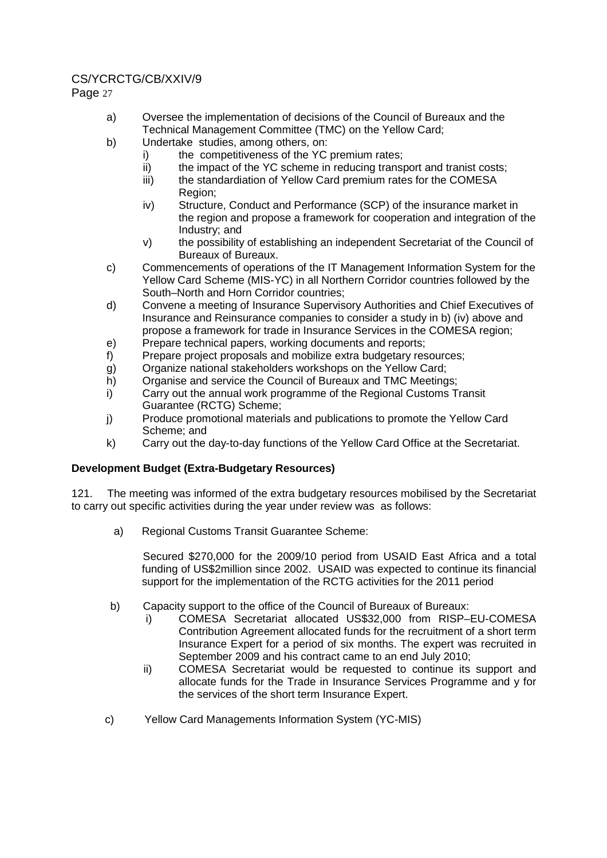# CS/YCRCTG/CB/XXIV/9

Page 27

- a) Oversee the implementation of decisions of the Council of Bureaux and the Technical Management Committee (TMC) on the Yellow Card;
- b) Undertake studies, among others, on:
	- i) the competitiveness of the YC premium rates;
	- ii) the impact of the YC scheme in reducing transport and tranist costs;
	- iii) the standardiation of Yellow Card premium rates for the COMESA Region;
	- iv) Structure, Conduct and Performance (SCP) of the insurance market in the region and propose a framework for cooperation and integration of the Industry; and
	- v) the possibility of establishing an independent Secretariat of the Council of Bureaux of Bureaux.
- c) Commencements of operations of the IT Management Information System for the Yellow Card Scheme (MIS-YC) in all Northern Corridor countries followed by the South–North and Horn Corridor countries;
- d) Convene a meeting of Insurance Supervisory Authorities and Chief Executives of Insurance and Reinsurance companies to consider a study in b) (iv) above and propose a framework for trade in Insurance Services in the COMESA region;
- e) Prepare technical papers, working documents and reports;
- f) Prepare project proposals and mobilize extra budgetary resources;
- g) Organize national stakeholders workshops on the Yellow Card;
- h) Organise and service the Council of Bureaux and TMC Meetings;
- i) Carry out the annual work programme of the Regional Customs Transit Guarantee (RCTG) Scheme;
- j) Produce promotional materials and publications to promote the Yellow Card Scheme; and
- k) Carry out the day-to-day functions of the Yellow Card Office at the Secretariat.

# **Development Budget (Extra-Budgetary Resources)**

121. The meeting was informed of the extra budgetary resources mobilised by the Secretariat to carry out specific activities during the year under review was as follows:

a) Regional Customs Transit Guarantee Scheme:

Secured \$270,000 for the 2009/10 period from USAID East Africa and a total funding of US\$2million since 2002. USAID was expected to continue its financial support for the implementation of the RCTG activities for the 2011 period

- b) Capacity support to the office of the Council of Bureaux of Bureaux:
	- i) COMESA Secretariat allocated US\$32,000 from RISP–EU-COMESA Contribution Agreement allocated funds for the recruitment of a short term Insurance Expert for a period of six months. The expert was recruited in September 2009 and his contract came to an end July 2010;
	- ii) COMESA Secretariat would be requested to continue its support and allocate funds for the Trade in Insurance Services Programme and y for the services of the short term Insurance Expert.
- c) Yellow Card Managements Information System (YC-MIS)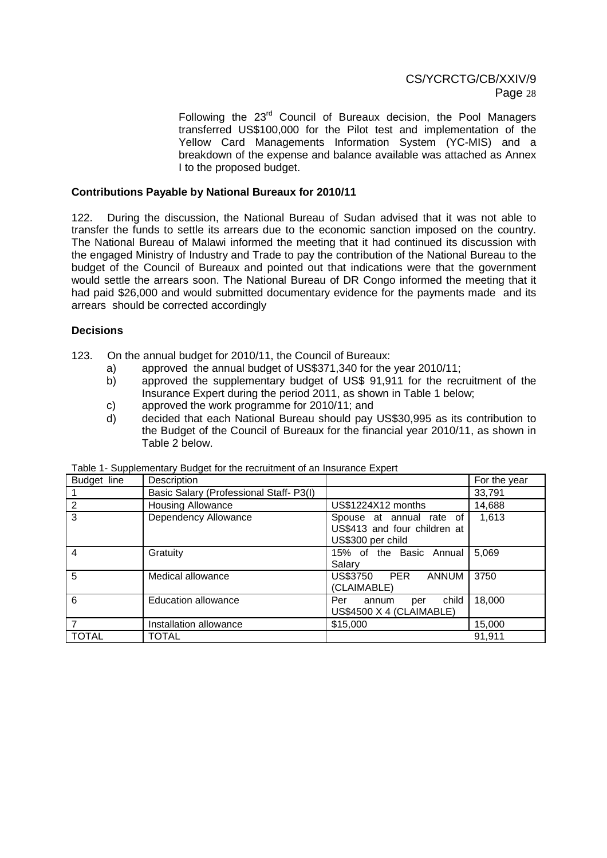Following the 23rd Council of Bureaux decision, the Pool Managers transferred US\$100,000 for the Pilot test and implementation of the Yellow Card Managements Information System (YC-MIS) and a breakdown of the expense and balance available was attached as Annex I to the proposed budget.

#### **Contributions Payable by National Bureaux for 2010/11**

122. During the discussion, the National Bureau of Sudan advised that it was not able to transfer the funds to settle its arrears due to the economic sanction imposed on the country. The National Bureau of Malawi informed the meeting that it had continued its discussion with the engaged Ministry of Industry and Trade to pay the contribution of the National Bureau to the budget of the Council of Bureaux and pointed out that indications were that the government would settle the arrears soon. The National Bureau of DR Congo informed the meeting that it had paid \$26,000 and would submitted documentary evidence for the payments made and its arrears should be corrected accordingly

### **Decisions**

- 123. On the annual budget for 2010/11, the Council of Bureaux:
	- a) approved the annual budget of US\$371,340 for the year 2010/11;
	- b) approved the supplementary budget of US\$ 91,911 for the recruitment of the Insurance Expert during the period 2011, as shown in Table 1 below;
	- c) approved the work programme for 2010/11; and
	- d) decided that each National Bureau should pay US\$30,995 as its contribution to the Budget of the Council of Bureaux for the financial year 2010/11, as shown in Table 2 below.

| Budget line    | Description                            |                                                                               | For the year |
|----------------|----------------------------------------|-------------------------------------------------------------------------------|--------------|
|                | Basic Salary (Professional Staff-P3(I) |                                                                               | 33,791       |
| $\overline{2}$ | <b>Housing Allowance</b>               | US\$1224X12 months                                                            | 14,688       |
| 3              | Dependency Allowance                   | Spouse at annual rate of<br>US\$413 and four children at<br>US\$300 per child | 1,613        |
| 4              | Gratuity                               | 15% of the Basic Annual<br>Salarv                                             | 5,069        |
| 5              | Medical allowance                      | US\$3750 PER<br><b>ANNUM</b><br>(CLAIMABLE)                                   | 3750         |
| 6              | <b>Education allowance</b>             | child<br>Per<br>annum<br>per<br>US\$4500 X 4 (CLAIMABLE)                      | 18,000       |
|                | Installation allowance                 | \$15,000                                                                      | 15,000       |
| <b>TOTAL</b>   | <b>TOTAL</b>                           |                                                                               | 91.911       |

| Table 1- Supplementary Budget for the recruitment of an Insurance Expert |  |  |
|--------------------------------------------------------------------------|--|--|
|                                                                          |  |  |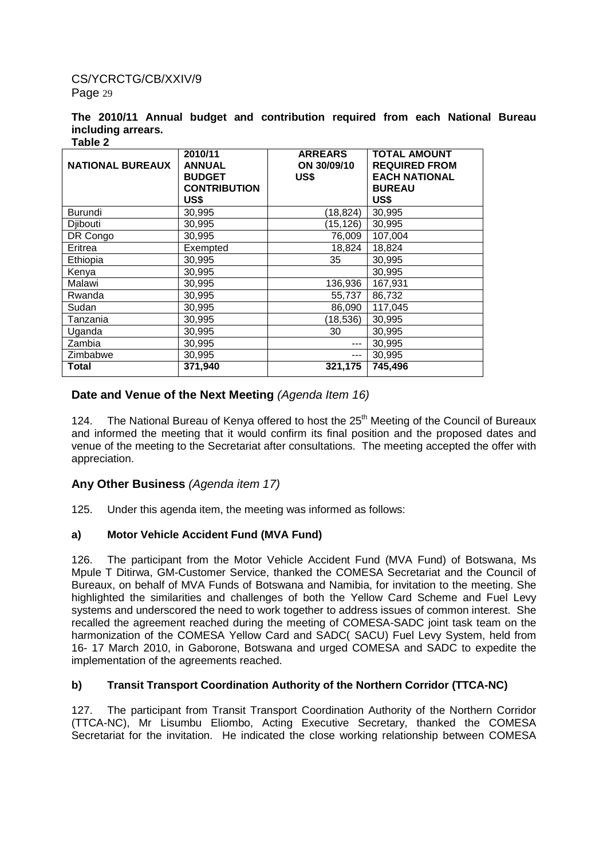#### **The 2010/11 Annual budget and contribution required from each National Bureau including arrears. Table 2**

| <b>NATIONAL BUREAUX</b> | 2010/11<br><b>ANNUAL</b><br><b>BUDGET</b><br><b>CONTRIBUTION</b><br>US\$ | <b>ARREARS</b><br>ON 30/09/10<br>US\$ | <b>TOTAL AMOUNT</b><br><b>REQUIRED FROM</b><br><b>EACH NATIONAL</b><br><b>BUREAU</b><br>US\$ |
|-------------------------|--------------------------------------------------------------------------|---------------------------------------|----------------------------------------------------------------------------------------------|
| Burundi                 | 30,995                                                                   | (18, 824)                             | 30,995                                                                                       |
| Diibouti                | 30,995                                                                   | (15, 126)                             | 30,995                                                                                       |
| DR Congo                | 30.995                                                                   | 76,009                                | 107,004                                                                                      |
| Eritrea                 | Exempted                                                                 | 18,824                                | 18,824                                                                                       |
| Ethiopia                | 30,995                                                                   | 35                                    | 30,995                                                                                       |
| Kenya                   | 30,995                                                                   |                                       | 30,995                                                                                       |
| Malawi                  | 30,995                                                                   | 136,936                               | 167,931                                                                                      |
| Rwanda                  | 30,995                                                                   | 55,737                                | 86,732                                                                                       |
| Sudan                   | 30,995                                                                   | 86,090                                | 117,045                                                                                      |
| Tanzania                | 30,995                                                                   | (18, 536)                             | 30,995                                                                                       |
| Uganda                  | 30,995                                                                   | 30                                    | 30,995                                                                                       |
| Zambia                  | 30,995                                                                   | $---$                                 | 30,995                                                                                       |
| Zimbabwe                | 30,995                                                                   | $---$                                 | 30,995                                                                                       |
| Total                   | 371,940                                                                  | 321,175                               | 745,496                                                                                      |

# **Date and Venue of the Next Meeting** (Agenda Item 16)

124. The National Bureau of Kenya offered to host the 25<sup>th</sup> Meeting of the Council of Bureaux and informed the meeting that it would confirm its final position and the proposed dates and venue of the meeting to the Secretariat after consultations. The meeting accepted the offer with appreciation.

# **Any Other Business** (Agenda item 17)

125. Under this agenda item, the meeting was informed as follows:

### **a) Motor Vehicle Accident Fund (MVA Fund)**

126. The participant from the Motor Vehicle Accident Fund (MVA Fund) of Botswana, Ms Mpule T Ditirwa, GM-Customer Service, thanked the COMESA Secretariat and the Council of Bureaux, on behalf of MVA Funds of Botswana and Namibia, for invitation to the meeting. She highlighted the similarities and challenges of both the Yellow Card Scheme and Fuel Levy systems and underscored the need to work together to address issues of common interest. She recalled the agreement reached during the meeting of COMESA-SADC joint task team on the harmonization of the COMESA Yellow Card and SADC( SACU) Fuel Levy System, held from 16- 17 March 2010, in Gaborone, Botswana and urged COMESA and SADC to expedite the implementation of the agreements reached.

### **b) Transit Transport Coordination Authority of the Northern Corridor (TTCA-NC)**

127. The participant from Transit Transport Coordination Authority of the Northern Corridor (TTCA-NC), Mr Lisumbu Eliombo, Acting Executive Secretary, thanked the COMESA Secretariat for the invitation. He indicated the close working relationship between COMESA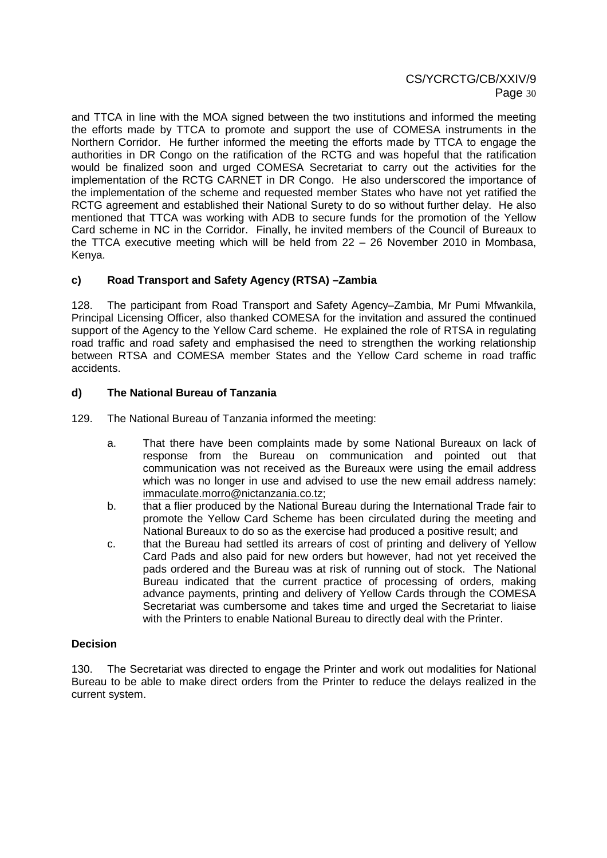and TTCA in line with the MOA signed between the two institutions and informed the meeting the efforts made by TTCA to promote and support the use of COMESA instruments in the Northern Corridor. He further informed the meeting the efforts made by TTCA to engage the authorities in DR Congo on the ratification of the RCTG and was hopeful that the ratification would be finalized soon and urged COMESA Secretariat to carry out the activities for the implementation of the RCTG CARNET in DR Congo. He also underscored the importance of the implementation of the scheme and requested member States who have not yet ratified the RCTG agreement and established their National Surety to do so without further delay. He also mentioned that TTCA was working with ADB to secure funds for the promotion of the Yellow Card scheme in NC in the Corridor. Finally, he invited members of the Council of Bureaux to the TTCA executive meeting which will be held from 22 – 26 November 2010 in Mombasa, Kenya.

# **c) Road Transport and Safety Agency (RTSA) –Zambia**

128. The participant from Road Transport and Safety Agency–Zambia, Mr Pumi Mfwankila, Principal Licensing Officer, also thanked COMESA for the invitation and assured the continued support of the Agency to the Yellow Card scheme. He explained the role of RTSA in regulating road traffic and road safety and emphasised the need to strengthen the working relationship between RTSA and COMESA member States and the Yellow Card scheme in road traffic accidents.

### **d) The National Bureau of Tanzania**

129. The National Bureau of Tanzania informed the meeting:

- a. That there have been complaints made by some National Bureaux on lack of response from the Bureau on communication and pointed out that communication was not received as the Bureaux were using the email address which was no longer in use and advised to use the new email address namely: immaculate.morro@nictanzania.co.tz;
- b. that a flier produced by the National Bureau during the International Trade fair to promote the Yellow Card Scheme has been circulated during the meeting and National Bureaux to do so as the exercise had produced a positive result; and
- c. that the Bureau had settled its arrears of cost of printing and delivery of Yellow Card Pads and also paid for new orders but however, had not yet received the pads ordered and the Bureau was at risk of running out of stock. The National Bureau indicated that the current practice of processing of orders, making advance payments, printing and delivery of Yellow Cards through the COMESA Secretariat was cumbersome and takes time and urged the Secretariat to liaise with the Printers to enable National Bureau to directly deal with the Printer.

#### **Decision**

130. The Secretariat was directed to engage the Printer and work out modalities for National Bureau to be able to make direct orders from the Printer to reduce the delays realized in the current system.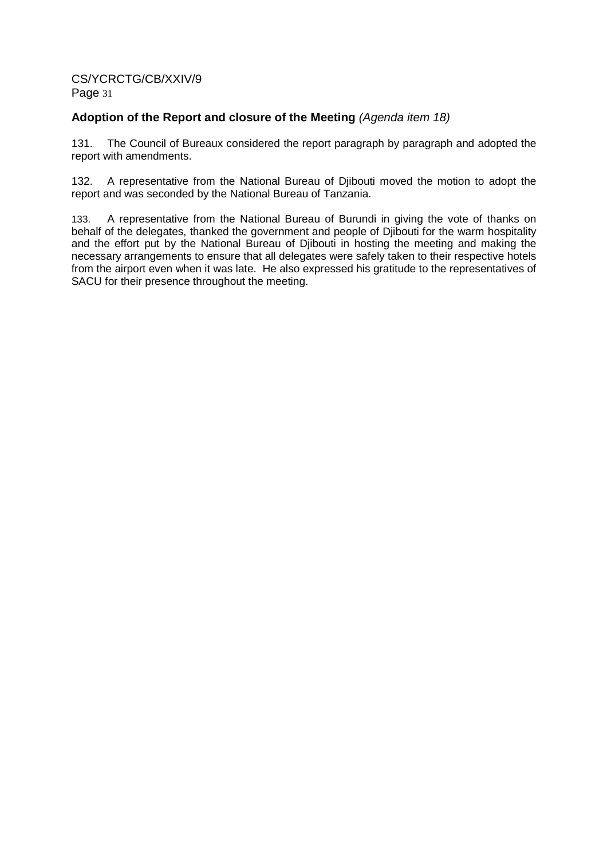# **Adoption of the Report and closure of the Meeting** (Agenda item 18)

131. The Council of Bureaux considered the report paragraph by paragraph and adopted the report with amendments.

132. A representative from the National Bureau of Djibouti moved the motion to adopt the report and was seconded by the National Bureau of Tanzania.

133. A representative from the National Bureau of Burundi in giving the vote of thanks on behalf of the delegates, thanked the government and people of Djibouti for the warm hospitality and the effort put by the National Bureau of Djibouti in hosting the meeting and making the necessary arrangements to ensure that all delegates were safely taken to their respective hotels from the airport even when it was late. He also expressed his gratitude to the representatives of SACU for their presence throughout the meeting.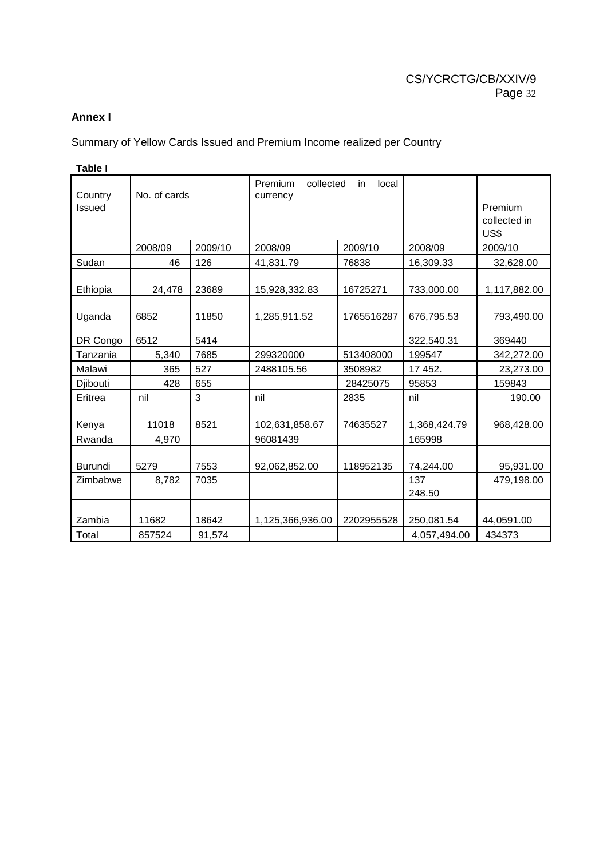# **Annex I**

# Summary of Yellow Cards Issued and Premium Income realized per Country

| Country<br>Issued | No. of cards |         | Premium<br>collected<br>currency | local<br>in |               | Premium<br>collected in<br>US\$ |
|-------------------|--------------|---------|----------------------------------|-------------|---------------|---------------------------------|
|                   | 2008/09      | 2009/10 | 2008/09                          | 2009/10     | 2008/09       | 2009/10                         |
| Sudan             | 46           | 126     | 41,831.79                        | 76838       | 16,309.33     | 32,628.00                       |
| Ethiopia          | 24,478       | 23689   | 15,928,332.83                    | 16725271    | 733,000.00    | 1,117,882.00                    |
| Uganda            | 6852         | 11850   | 1,285,911.52                     | 1765516287  | 676,795.53    | 793,490.00                      |
| DR Congo          | 6512         | 5414    |                                  |             | 322,540.31    | 369440                          |
| Tanzania          | 5,340        | 7685    | 299320000                        | 513408000   | 199547        | 342,272.00                      |
| Malawi            | 365          | 527     | 2488105.56                       | 3508982     | 17 452.       | 23,273.00                       |
| Djibouti          | 428          | 655     |                                  | 28425075    | 95853         | 159843                          |
| Eritrea           | nil          | 3       | nil                              | 2835        | nil           | 190.00                          |
| Kenya             | 11018        | 8521    | 102,631,858.67                   | 74635527    | 1,368,424.79  | 968,428.00                      |
| Rwanda            | 4,970        |         | 96081439                         |             | 165998        |                                 |
| <b>Burundi</b>    | 5279         | 7553    | 92,062,852.00                    | 118952135   | 74,244.00     | 95,931.00                       |
| Zimbabwe          | 8,782        | 7035    |                                  |             | 137<br>248.50 | 479,198.00                      |
| Zambia            | 11682        | 18642   | 1,125,366,936.00                 | 2202955528  | 250,081.54    | 44,0591.00                      |
| Total             | 857524       | 91,574  |                                  |             | 4,057,494.00  | 434373                          |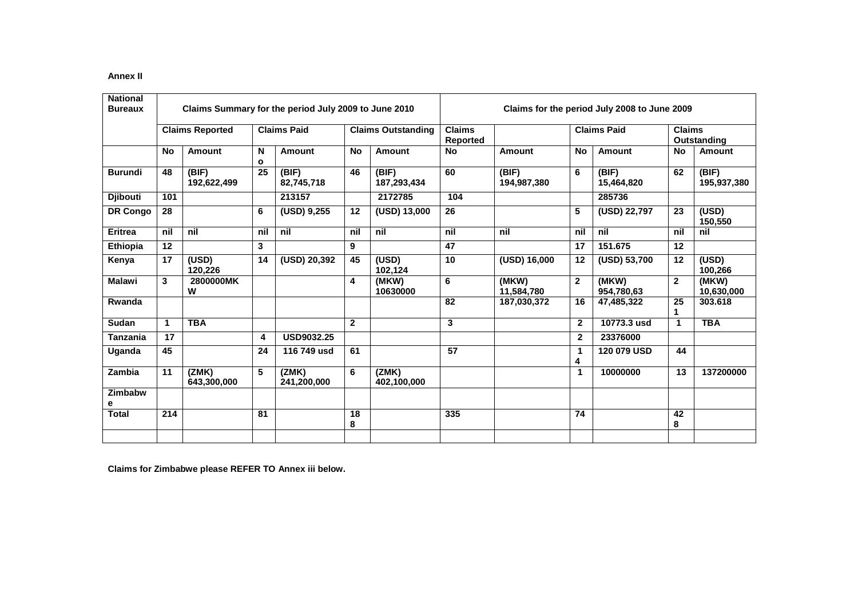#### **Annex II**

| <b>National</b><br><b>Bureaux</b> | Claims Summary for the period July 2009 to June 2010 |                        |        |                      |                | Claims for the period July 2008 to June 2009 |                           |                      |                |                     |                              |                      |
|-----------------------------------|------------------------------------------------------|------------------------|--------|----------------------|----------------|----------------------------------------------|---------------------------|----------------------|----------------|---------------------|------------------------------|----------------------|
|                                   |                                                      | <b>Claims Reported</b> |        | <b>Claims Paid</b>   |                | <b>Claims Outstanding</b>                    | <b>Claims</b><br>Reported |                      |                | <b>Claims Paid</b>  | <b>Claims</b><br>Outstanding |                      |
|                                   | No                                                   | <b>Amount</b>          | N<br>O | <b>Amount</b>        | <b>No</b>      | <b>Amount</b>                                | <b>No</b>                 | <b>Amount</b>        | <b>No</b>      | <b>Amount</b>       | <b>No</b>                    | <b>Amount</b>        |
| <b>Burundi</b>                    | 48                                                   | (BIF)<br>192,622,499   | 25     | (BIF)<br>82,745,718  | 46             | (BIF)<br>187,293,434                         | 60                        | (BIF)<br>194,987,380 | 6              | (BIF)<br>15,464,820 | 62                           | (BIF)<br>195,937,380 |
| <b>Diibouti</b>                   | 101                                                  |                        |        | 213157               |                | 2172785                                      | 104                       |                      |                | 285736              |                              |                      |
| DR Congo                          | 28                                                   |                        | 6      | (USD) 9,255          | 12             | (USD) 13,000                                 | 26                        |                      | 5              | (USD) 22,797        | 23                           | (USD)<br>150,550     |
| Eritrea                           | nil                                                  | nil                    | nil    | nil                  | nil            | nil                                          | nil                       | nil                  | nil            | nil                 | nil                          | nil                  |
| <b>Ethiopia</b>                   | 12                                                   |                        | 3      |                      | 9              |                                              | $\overline{47}$           |                      | 17             | 151.675             | 12                           |                      |
| Kenya                             | 17                                                   | (USD)<br>120,226       | 14     | (USD) 20,392         | 45             | (USD)<br>102,124                             | 10                        | (USD) 16,000         | 12             | (USD) 53,700        | 12                           | (USD)<br>100,266     |
| <b>Malawi</b>                     | 3                                                    | 2800000MK<br>W         |        |                      | 4              | (MKW)<br>10630000                            | 6                         | (MKW)<br>11,584,780  | $\mathbf{2}$   | (MKW)<br>954,780,63 | $\mathbf{2}$                 | (MKW)<br>10,630,000  |
| Rwanda                            |                                                      |                        |        |                      |                |                                              | 82                        | 187,030,372          | 16             | 47,485,322          | 25                           | 303.618              |
| Sudan                             | 1                                                    | <b>TBA</b>             |        |                      | $\overline{2}$ |                                              | 3                         |                      | $\overline{2}$ | 10773.3 usd         | 1                            | <b>TBA</b>           |
| Tanzania                          | 17                                                   |                        | 4      | <b>USD9032.25</b>    |                |                                              |                           |                      | $\mathbf{2}$   | 23376000            |                              |                      |
| Uganda                            | 45                                                   |                        | 24     | 116 749 usd          | 61             |                                              | 57                        |                      | 1<br>4         | 120 079 USD         | 44                           |                      |
| Zambia                            | 11                                                   | (ZMK)<br>643,300,000   | 5      | (ZMK)<br>241,200,000 | 6              | (ZMK)<br>402,100,000                         |                           |                      | $\mathbf 1$    | 10000000            | 13                           | 137200000            |
| Zimbabw<br>е                      |                                                      |                        |        |                      |                |                                              |                           |                      |                |                     |                              |                      |
| <b>Total</b>                      | 214                                                  |                        | 81     |                      | 18<br>8        |                                              | 335                       |                      | 74             |                     | 42<br>8                      |                      |
|                                   |                                                      |                        |        |                      |                |                                              |                           |                      |                |                     |                              |                      |

**Claims for Zimbabwe please REFER TO Annex iii below.**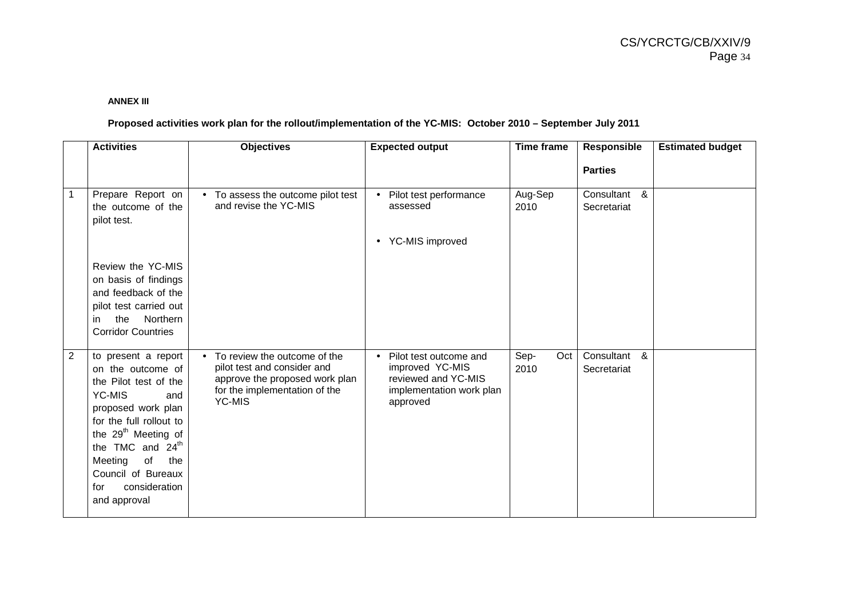#### **ANNEX III**

### **Proposed activities work plan for the rollout/implementation of the YC-MIS: October 2010 – September July 2011**

|   | <b>Activities</b>                                                                                                                                                                                                                                                                            | <b>Objectives</b>                                                                                                                                            | <b>Expected output</b>                                                                                   | <b>Time frame</b>   | Responsible                    | <b>Estimated budget</b> |
|---|----------------------------------------------------------------------------------------------------------------------------------------------------------------------------------------------------------------------------------------------------------------------------------------------|--------------------------------------------------------------------------------------------------------------------------------------------------------------|----------------------------------------------------------------------------------------------------------|---------------------|--------------------------------|-------------------------|
|   |                                                                                                                                                                                                                                                                                              |                                                                                                                                                              |                                                                                                          |                     | <b>Parties</b>                 |                         |
| 1 | Prepare Report on<br>the outcome of the<br>pilot test.                                                                                                                                                                                                                                       | • To assess the outcome pilot test<br>and revise the YC-MIS                                                                                                  | Pilot test performance<br>assessed<br>• YC-MIS improved                                                  | Aug-Sep<br>2010     | Consultant &<br>Secretariat    |                         |
|   | Review the YC-MIS<br>on basis of findings<br>and feedback of the<br>pilot test carried out<br>Northern<br>the<br>in<br><b>Corridor Countries</b>                                                                                                                                             |                                                                                                                                                              |                                                                                                          |                     |                                |                         |
| 2 | to present a report<br>on the outcome of<br>the Pilot test of the<br>YC-MIS<br>and<br>proposed work plan<br>for the full rollout to<br>the 29 <sup>th</sup> Meeting of<br>the TMC and 24 <sup>th</sup><br>of<br>Meeting<br>the<br>Council of Bureaux<br>consideration<br>for<br>and approval | To review the outcome of the<br>$\bullet$<br>pilot test and consider and<br>approve the proposed work plan<br>for the implementation of the<br><b>YC-MIS</b> | Pilot test outcome and<br>improved YC-MIS<br>reviewed and YC-MIS<br>implementation work plan<br>approved | Sep-<br>Oct<br>2010 | Consultant<br>&<br>Secretariat |                         |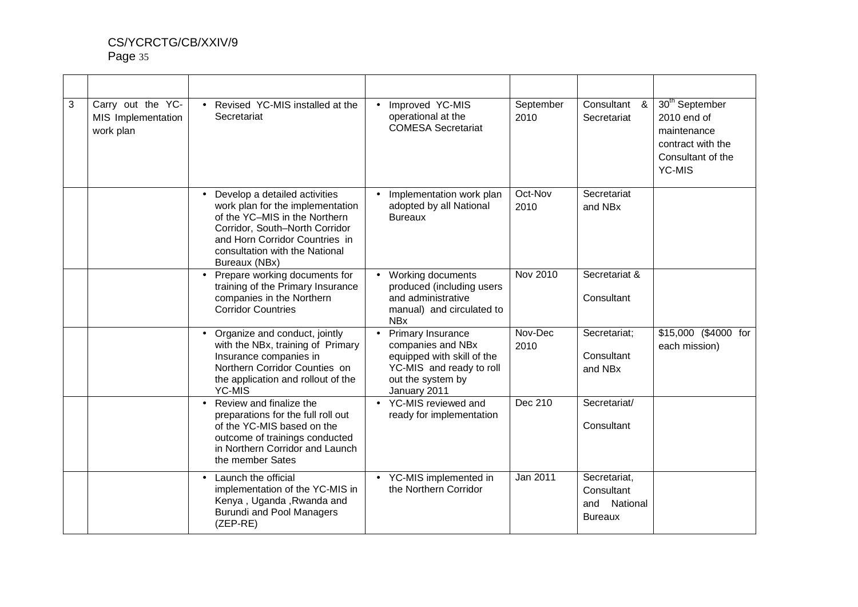| 3 | Carry out the YC-<br>MIS Implementation<br>work plan | • Revised YC-MIS installed at the<br>Secretariat                                                                                                                                                                          | Improved YC-MIS<br>operational at the<br><b>COMESA Secretariat</b>                                                                    | September<br>2010 | Consultant &<br>Secretariat                                     | 30 <sup>th</sup> September<br>2010 end of<br>maintenance<br>contract with the<br>Consultant of the<br><b>YC-MIS</b> |
|---|------------------------------------------------------|---------------------------------------------------------------------------------------------------------------------------------------------------------------------------------------------------------------------------|---------------------------------------------------------------------------------------------------------------------------------------|-------------------|-----------------------------------------------------------------|---------------------------------------------------------------------------------------------------------------------|
|   |                                                      | Develop a detailed activities<br>work plan for the implementation<br>of the YC-MIS in the Northern<br>Corridor, South-North Corridor<br>and Horn Corridor Countries in<br>consultation with the National<br>Bureaux (NBx) | Implementation work plan<br>adopted by all National<br><b>Bureaux</b>                                                                 | Oct-Nov<br>2010   | Secretariat<br>and NBx                                          |                                                                                                                     |
|   |                                                      | Prepare working documents for<br>$\bullet$<br>training of the Primary Insurance<br>companies in the Northern<br><b>Corridor Countries</b>                                                                                 | Working documents<br>produced (including users<br>and administrative<br>manual) and circulated to<br><b>NBx</b>                       | Nov 2010          | Secretariat &<br>Consultant                                     |                                                                                                                     |
|   |                                                      | Organize and conduct, jointly<br>with the NBx, training of Primary<br>Insurance companies in<br>Northern Corridor Counties on<br>the application and rollout of the<br><b>YC-MIS</b>                                      | Primary Insurance<br>companies and NBx<br>equipped with skill of the<br>YC-MIS and ready to roll<br>out the system by<br>January 2011 | Nov-Dec<br>2010   | Secretariat;<br>Consultant<br>and NBx                           | \$15,000 (\$4000 for<br>each mission)                                                                               |
|   |                                                      | Review and finalize the<br>$\bullet$<br>preparations for the full roll out<br>of the YC-MIS based on the<br>outcome of trainings conducted<br>in Northern Corridor and Launch<br>the member Sates                         | • YC-MIS reviewed and<br>ready for implementation                                                                                     | Dec 210           | Secretariat/<br>Consultant                                      |                                                                                                                     |
|   |                                                      | Launch the official<br>$\bullet$<br>implementation of the YC-MIS in<br>Kenya, Uganda, Rwanda and<br><b>Burundi and Pool Managers</b><br>$(ZEP-RE)$                                                                        | • YC-MIS implemented in<br>the Northern Corridor                                                                                      | Jan 2011          | Secretariat,<br>Consultant<br>National<br>and<br><b>Bureaux</b> |                                                                                                                     |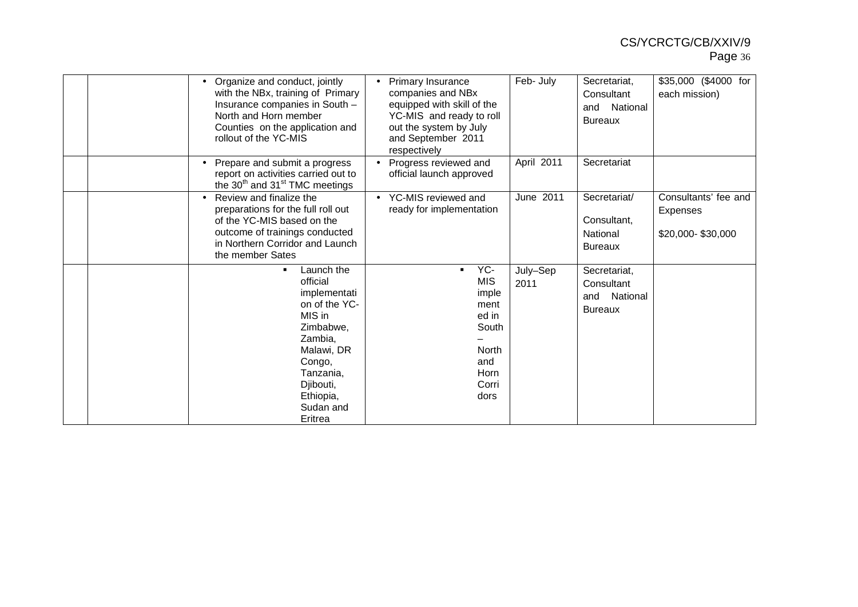|  | Organize and conduct, jointly<br>with the NBx, training of Primary<br>Insurance companies in South -<br>North and Horn member<br>Counties on the application and<br>rollout of the YC-MIS          | <b>Primary Insurance</b><br>companies and NBx<br>equipped with skill of the<br>YC-MIS and ready to roll<br>out the system by July<br>and September 2011<br>respectively | Feb- July        | Secretariat,<br>Consultant<br>National<br>and<br><b>Bureaux</b> | \$35,000 (\$4000 for<br>each mission)                        |
|--|----------------------------------------------------------------------------------------------------------------------------------------------------------------------------------------------------|-------------------------------------------------------------------------------------------------------------------------------------------------------------------------|------------------|-----------------------------------------------------------------|--------------------------------------------------------------|
|  | Prepare and submit a progress<br>report on activities carried out to<br>the 30 <sup>th</sup> and 31 <sup>st</sup> TMC meetings                                                                     | Progress reviewed and<br>official launch approved                                                                                                                       | April 2011       | Secretariat                                                     |                                                              |
|  | Review and finalize the<br>preparations for the full roll out<br>of the YC-MIS based on the<br>outcome of trainings conducted<br>in Northern Corridor and Launch<br>the member Sates               | YC-MIS reviewed and<br>$\bullet$<br>ready for implementation                                                                                                            | June 2011        | Secretariat/<br>Consultant,<br>National<br><b>Bureaux</b>       | Consultants' fee and<br><b>Expenses</b><br>\$20,000-\$30,000 |
|  | Launch the<br>$\blacksquare$<br>official<br>implementati<br>on of the YC-<br>MIS in<br>Zimbabwe.<br>Zambia,<br>Malawi, DR<br>Congo,<br>Tanzania,<br>Djibouti,<br>Ethiopia,<br>Sudan and<br>Eritrea | YC-<br>$\blacksquare$<br><b>MIS</b><br>imple<br>ment<br>ed in<br>South<br>North<br>and<br>Horn<br>Corri<br>dors                                                         | July-Sep<br>2011 | Secretariat,<br>Consultant<br>National<br>and<br><b>Bureaux</b> |                                                              |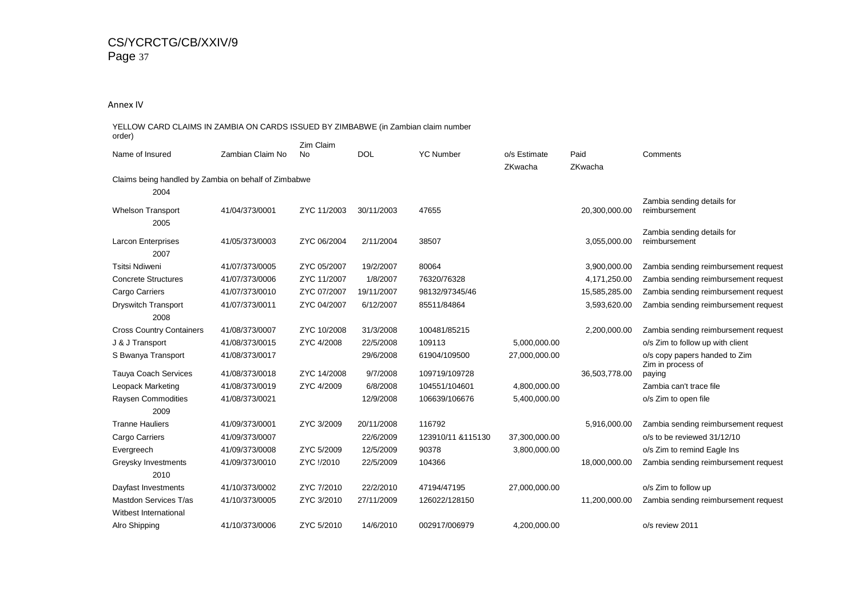#### Annex IV

#### YELLOW CARD CLAIMS IN ZAMBIA ON CARDS ISSUED BY ZIMBABWE (in Zambian claim number order) Name of Insured Zambian Claim No Zim Claim No DOL YC Number o/s Estimate Paid Comments ZKwacha ZKwacha Claims being handled by Zambia on behalf of Zimbabwe 2004 Whelson Transport 41/04/373/0001 ZYC 11/2003 30/11/2003 47655 20,300,000.00 Zambia sending details for reimbursement 2005 Larcon Enterprises 41/05/373/0003 ZYC 06/2004 2/11/2004 38507 3,055,000.00 Zambia sending details for reimbursement 2007 Tsitsi Ndiweni 41/07/373/0005 ZYC 05/2007 19/2/2007 <sup>80064</sup> 3,900,000.00 Zambia sending reimbursement request Concrete Structures 41/07/373/0006 ZYC 11/2007 1/8/2007 76320/76328 4,171,250.00 Zambia sending reimbursement request Cargo Carriers 41/07/373/0010 ZYC 07/2007 19/11/2007 98132/97345/46 15,585,285.00 Zambia sending reimbursement request Dryswitch Transport 41/07/373/0011 ZYC 04/2007 6/12/2007 85511/84864 3,593,620.00 Zambia sending reimbursement request 2008 Cross Country Containers 41/08/373/0007 ZYC 10/2008 31/3/2008 100481/85215 2,200,000.00 Zambia sending reimbursement request J & J Transport 41/08/373/0015 ZYC 4/2008 22/5/2008 109113 5,000,000.00 o/s Zim to follow up with client S Bwanya Transport 41/08/373/0017 29/6/2008 61904/109500 27,000,000.00 o/s copy papers handed to Zim Tauya Coach Services 41/08/373/00188 ZYC 14/2008 9/7/2008 109719/109728 36,503,778.00 Zim in process of payingZambia can't trace file Leopack Marketing 41/08/373/0019 ZYC 4/2009 6/8/2008 104551/104601 4,800,000.00 Zambia can't trace file Raysen Commodities 41/08/373/0021 12/9/2008 106639/106676 5,400,000.00 o/s Zim to open file 2009 Tranne Hauliers 41/09/373/0001 ZYC 3/2009 20/11/2008 116792 5,916,000.00 Zambia sending reimbursement request Cargo Carriers 41/09/373/0007 22/6/2009 123910/11 &115130 37,300,000.00 o/s to be reviewed 31/12/10 Evergreech 41/09/373/0008 ZYC 5/2009 12/5/2009 90378 3,800,000.00 o/s Zim to remind Eagle Ins Greysky Investments 41/09/373/0010 ZYC !/2010 22/5/2009 104366 18,000,000.00 Zambia sending reimbursement request 2010 Dayfast Investments 41/10/373/0002 ZYC 7/2010 22/2/2010 47194/47195 27,000,000.00 o/s Zim to follow up Mastdon Services T/as 41/10/373/0005 ZYC 3/2010 27/11/2009 126022/128150 11,200,000.00 Zambia sending reimbursement request Witbest International Alro Shipping41/10/373/0006 ZYC 5/2010 14/6/2010 002917/006979 4,200,000.00 o/s review 2011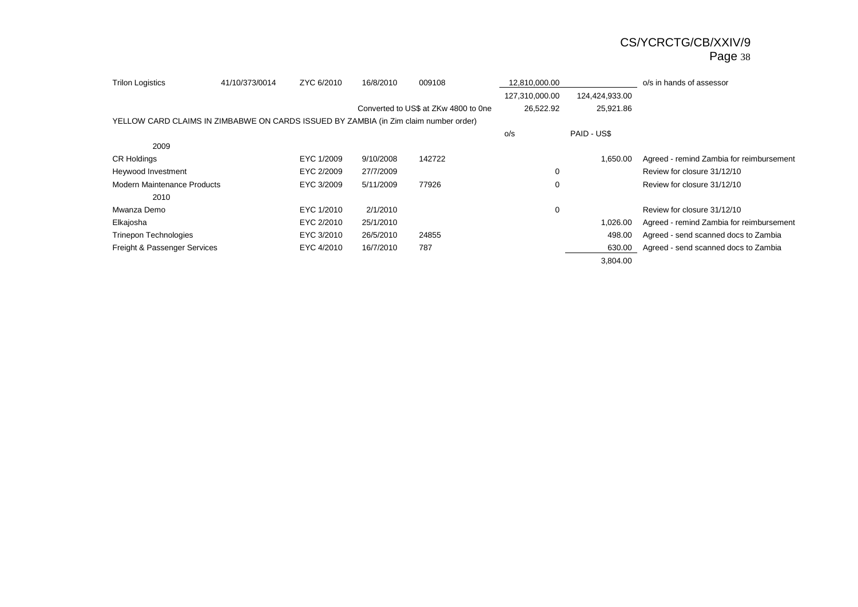| <b>Trilon Logistics</b>                                                              | 41/10/373/0014 | ZYC 6/2010 | 16/8/2010 | 009108                               | 12,810,000.00  |                | o/s in hands of assessor                 |
|--------------------------------------------------------------------------------------|----------------|------------|-----------|--------------------------------------|----------------|----------------|------------------------------------------|
|                                                                                      |                |            |           |                                      | 127,310,000.00 | 124,424,933.00 |                                          |
|                                                                                      |                |            |           | Converted to US\$ at ZKw 4800 to 0ne | 26,522.92      | 25,921.86      |                                          |
| YELLOW CARD CLAIMS IN ZIMBABWE ON CARDS ISSUED BY ZAMBIA (in Zim claim number order) |                |            |           |                                      |                |                |                                          |
|                                                                                      |                |            |           |                                      | O/S            | PAID - US\$    |                                          |
| 2009                                                                                 |                |            |           |                                      |                |                |                                          |
| <b>CR Holdings</b>                                                                   |                | EYC 1/2009 | 9/10/2008 | 142722                               |                | 1,650.00       | Agreed - remind Zambia for reimbursement |
| Heywood Investment                                                                   |                | EYC 2/2009 | 27/7/2009 |                                      | 0              |                | Review for closure 31/12/10              |
| <b>Modern Maintenance Products</b>                                                   |                | EYC 3/2009 | 5/11/2009 | 77926                                | 0              |                | Review for closure 31/12/10              |
| 2010                                                                                 |                |            |           |                                      |                |                |                                          |
| Mwanza Demo                                                                          |                | EYC 1/2010 | 2/1/2010  |                                      | 0              |                | Review for closure 31/12/10              |
| Elkajosha                                                                            |                | EYC 2/2010 | 25/1/2010 |                                      |                | 1,026.00       | Agreed - remind Zambia for reimbursement |
| <b>Trinepon Technologies</b>                                                         |                | EYC 3/2010 | 26/5/2010 | 24855                                |                | 498.00         | Agreed - send scanned docs to Zambia     |
| Freight & Passenger Services                                                         |                | EYC 4/2010 | 16/7/2010 | 787                                  |                | 630.00         | Agreed - send scanned docs to Zambia     |
|                                                                                      |                |            |           |                                      |                | 3,804.00       |                                          |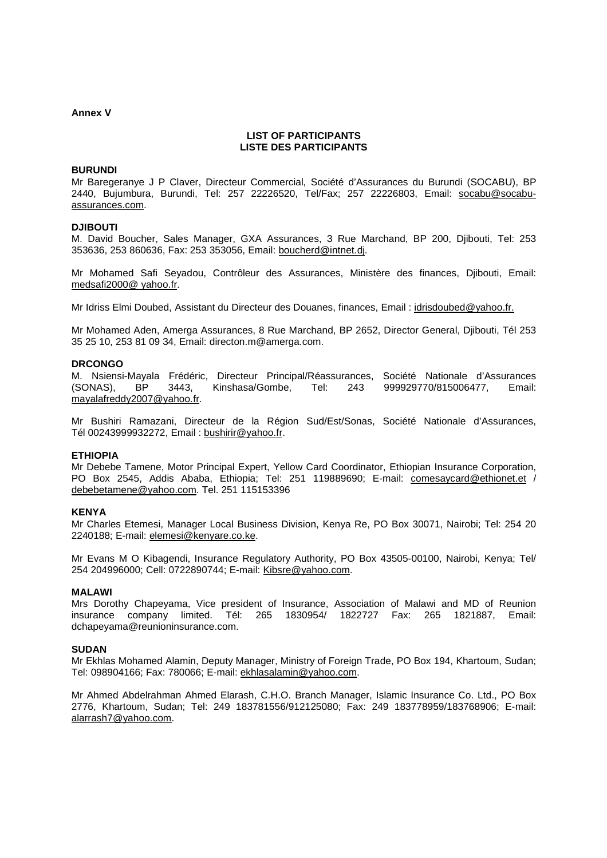#### **Annex V**

#### **LIST OF PARTICIPANTS LISTE DES PARTICIPANTS**

#### **BURUNDI**

Mr Baregeranye J P Claver, Directeur Commercial, Société d'Assurances du Burundi (SOCABU), BP 2440, Bujumbura, Burundi, Tel: 257 22226520, Tel/Fax; 257 22226803, Email: socabu@socabuassurances.com.

#### **DJIBOUTI**

M. David Boucher, Sales Manager, GXA Assurances, 3 Rue Marchand, BP 200, Djibouti, Tel: 253 353636, 253 860636, Fax: 253 353056, Email: boucherd@intnet.dj.

Mr Mohamed Safi Seyadou, Contrôleur des Assurances, Ministère des finances, Djibouti, Email: medsafi2000@ yahoo.fr.

Mr Idriss Elmi Doubed, Assistant du Directeur des Douanes, finances, Email : idrisdoubed@yahoo.fr.

Mr Mohamed Aden, Amerga Assurances, 8 Rue Marchand, BP 2652, Director General, Djibouti, Tél 253 35 25 10, 253 81 09 34, Email: directon.m@amerga.com.

#### **DRCONGO**

M. Nsiensi-Mayala Frédéric, Directeur Principal/Réassurances, Société Nationale d'Assurances (SONAS), BP 3443, Kinshasa/Gombe, Tel: 243 999929770/815006477, Email: mayalafreddy2007@yahoo.fr.

Mr Bushiri Ramazani, Directeur de la Région Sud/Est/Sonas, Société Nationale d'Assurances, Tél 00243999932272, Email : bushirir@yahoo.fr.

#### **ETHIOPIA**

Mr Debebe Tamene, Motor Principal Expert, Yellow Card Coordinator, Ethiopian Insurance Corporation, PO Box 2545, Addis Ababa, Ethiopia; Tel: 251 119889690; E-mail: comesaycard@ethionet.et / debebetamene@yahoo.com. Tel. 251 115153396

#### **KENYA**

Mr Charles Etemesi, Manager Local Business Division, Kenya Re, PO Box 30071, Nairobi; Tel: 254 20 2240188; E-mail: elemesi@kenyare.co.ke.

Mr Evans M O Kibagendi, Insurance Regulatory Authority, PO Box 43505-00100, Nairobi, Kenya; Tel/ 254 204996000; Cell: 0722890744; E-mail: Kibsre@yahoo.com.

#### **MALAWI**

Mrs Dorothy Chapeyama, Vice president of Insurance, Association of Malawi and MD of Reunion insurance company limited. Tél: 265 1830954/ 1822727 Fax: 265 1821887, Email: dchapeyama@reunioninsurance.com.

#### **SUDAN**

Mr Ekhlas Mohamed Alamin, Deputy Manager, Ministry of Foreign Trade, PO Box 194, Khartoum, Sudan; Tel: 098904166; Fax: 780066; E-mail: ekhlasalamin@yahoo.com.

Mr Ahmed Abdelrahman Ahmed Elarash, C.H.O. Branch Manager, Islamic Insurance Co. Ltd., PO Box 2776, Khartoum, Sudan; Tel: 249 183781556/912125080; Fax: 249 183778959/183768906; E-mail: alarrash7@yahoo.com.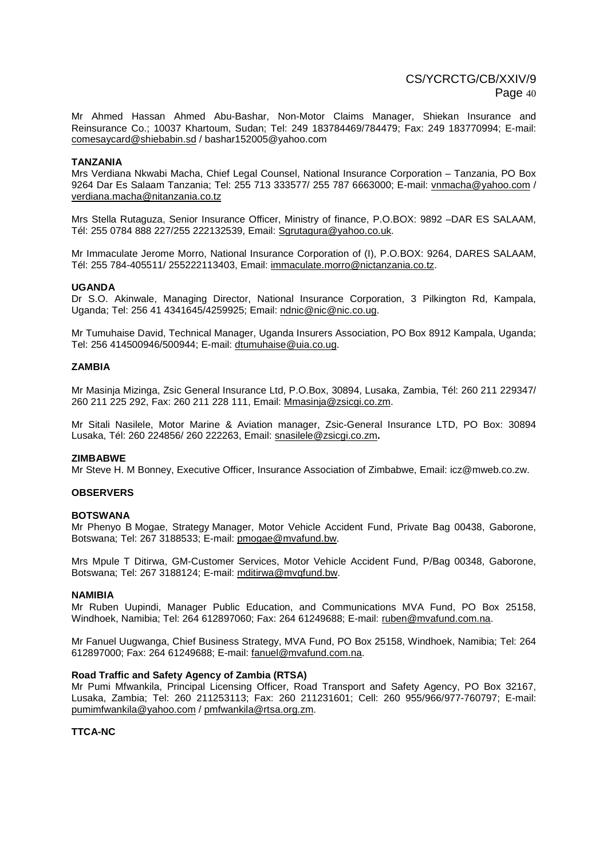Mr Ahmed Hassan Ahmed Abu-Bashar, Non-Motor Claims Manager, Shiekan Insurance and Reinsurance Co.; 10037 Khartoum, Sudan; Tel: 249 183784469/784479; Fax: 249 183770994; E-mail: comesaycard@shiebabin.sd / bashar152005@yahoo.com

#### **TANZANIA**

Mrs Verdiana Nkwabi Macha, Chief Legal Counsel, National Insurance Corporation – Tanzania, PO Box 9264 Dar Es Salaam Tanzania; Tel: 255 713 333577/ 255 787 6663000; E-mail: vnmacha@yahoo.com / verdiana.macha@nitanzania.co.tz

Mrs Stella Rutaguza, Senior Insurance Officer, Ministry of finance, P.O.BOX: 9892 –DAR ES SALAAM, Tél: 255 0784 888 227/255 222132539, Email: Sgrutagura@yahoo.co.uk.

Mr Immaculate Jerome Morro, National Insurance Corporation of (I), P.O.BOX: 9264, DARES SALAAM, Tél: 255 784-405511/ 255222113403, Email: immaculate.morro@nictanzania.co.tz.

#### **UGANDA**

Dr S.O. Akinwale, Managing Director, National Insurance Corporation, 3 Pilkington Rd, Kampala, Uganda; Tel: 256 41 4341645/4259925; Email: ndnic@nic@nic.co.ug.

Mr Tumuhaise David, Technical Manager, Uganda Insurers Association, PO Box 8912 Kampala, Uganda; Tel: 256 414500946/500944; E-mail: dtumuhaise@uia.co.ug.

#### **ZAMBIA**

Mr Masinja Mizinga, Zsic General Insurance Ltd, P.O.Box, 30894, Lusaka, Zambia, Tél: 260 211 229347/ 260 211 225 292, Fax: 260 211 228 111, Email: Mmasinja@zsicgi.co.zm.

Mr Sitali Nasilele, Motor Marine & Aviation manager, Zsic-General Insurance LTD, PO Box: 30894 Lusaka, Tél: 260 224856/ 260 222263, Email: snasilele@zsicgi.co.zm**.** 

#### **ZIMBABWE**

Mr Steve H. M Bonney, Executive Officer, Insurance Association of Zimbabwe, Email: icz@mweb.co.zw.

#### **OBSERVERS**

#### **BOTSWANA**

Mr Phenyo B Mogae, Strategy Manager, Motor Vehicle Accident Fund, Private Bag 00438, Gaborone, Botswana; Tel: 267 3188533; E-mail: pmogae@mvafund.bw.

Mrs Mpule T Ditirwa, GM-Customer Services, Motor Vehicle Accident Fund, P/Bag 00348, Gaborone, Botswana; Tel: 267 3188124; E-mail: mditirwa@mvqfund.bw.

#### **NAMIBIA**

Mr Ruben Uupindi, Manager Public Education, and Communications MVA Fund, PO Box 25158, Windhoek, Namibia; Tel: 264 612897060; Fax: 264 61249688; E-mail: ruben@mvafund.com.na.

Mr Fanuel Uugwanga, Chief Business Strategy, MVA Fund, PO Box 25158, Windhoek, Namibia; Tel: 264 612897000; Fax: 264 61249688; E-mail: fanuel@mvafund.com.na.

#### **Road Traffic and Safety Agency of Zambia (RTSA)**

Mr Pumi Mfwankila, Principal Licensing Officer, Road Transport and Safety Agency, PO Box 32167, Lusaka, Zambia; Tel: 260 211253113; Fax: 260 211231601; Cell: 260 955/966/977-760797; E-mail: pumimfwankila@yahoo.com / pmfwankila@rtsa.org.zm.

**TTCA-NC**